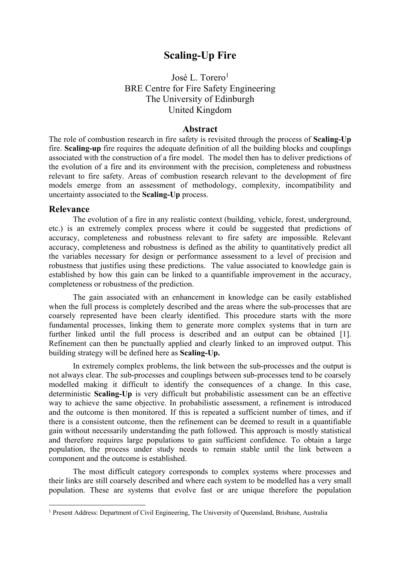# **Scaling-Up Fire**

# José L. Torero $<sup>1</sup>$ </sup> BRE Centre for Fire Safety Engineering The University of Edinburgh United Kingdom

## **Abstract**

The role of combustion research in fire safety is revisited through the process of **Scaling-Up**  fire. **Scaling-up** fire requires the adequate definition of all the building blocks and couplings associated with the construction of a fire model. The model then has to deliver predictions of the evolution of a fire and its environment with the precision, completeness and robustness relevant to fire safety. Areas of combustion research relevant to the development of fire models emerge from an assessment of methodology, complexity, incompatibility and uncertainty associated to the **Scaling-Up** process.

### **Relevance**

 $\overline{a}$ 

The evolution of a fire in any realistic context (building, vehicle, forest, underground, etc.) is an extremely complex process where it could be suggested that predictions of accuracy, completeness and robustness relevant to fire safety are impossible. Relevant accuracy, completeness and robustness is defined as the ability to quantitatively predict all the variables necessary for design or performance assessment to a level of precision and robustness that justifies using these predictions. The value associated to knowledge gain is established by how this gain can be linked to a quantifiable improvement in the accuracy, completeness or robustness of the prediction.

The gain associated with an enhancement in knowledge can be easily established when the full process is completely described and the areas where the sub-processes that are coarsely represented have been clearly identified. This procedure starts with the more fundamental processes, linking them to generate more complex systems that in turn are further linked until the full process is described and an output can be obtained [1]. Refinement can then be punctually applied and clearly linked to an improved output. This building strategy will be defined here as **Scaling-Up.**

In extremely complex problems, the link between the sub-processes and the output is not always clear. The sub-processes and couplings between sub-processes tend to be coarsely modelled making it difficult to identify the consequences of a change. In this case, deterministic **Scaling-Up** is very difficult but probabilistic assessment can be an effective way to achieve the same objective. In probabilistic assessment, a refinement is introduced and the outcome is then monitored. If this is repeated a sufficient number of times, and if there is a consistent outcome, then the refinement can be deemed to result in a quantifiable gain without necessarily understanding the path followed. This approach is mostly statistical and therefore requires large populations to gain sufficient confidence. To obtain a large population, the process under study needs to remain stable until the link between a component and the outcome is established.

The most difficult category corresponds to complex systems where processes and their links are still coarsely described and where each system to be modelled has a very small population. These are systems that evolve fast or are unique therefore the population

<sup>&</sup>lt;sup>1</sup> Present Address: Department of Civil Engineering, The University of Queensland, Brisbane, Australia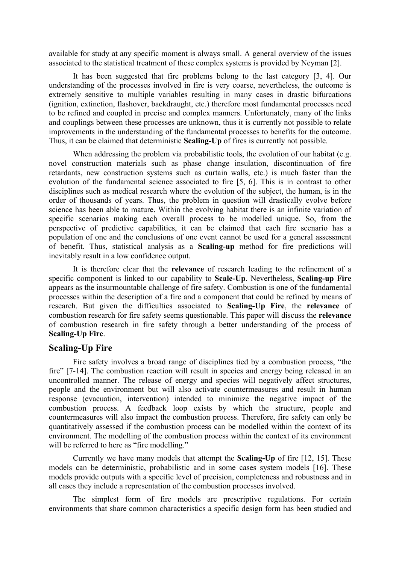available for study at any specific moment is always small. A general overview of the issues associated to the statistical treatment of these complex systems is provided by Neyman [2].

It has been suggested that fire problems belong to the last category [3, 4]. Our understanding of the processes involved in fire is very coarse, nevertheless, the outcome is extremely sensitive to multiple variables resulting in many cases in drastic bifurcations (ignition, extinction, flashover, backdraught, etc.) therefore most fundamental processes need to be refined and coupled in precise and complex manners. Unfortunately, many of the links and couplings between these processes are unknown, thus it is currently not possible to relate improvements in the understanding of the fundamental processes to benefits for the outcome. Thus, it can be claimed that deterministic **Scaling-Up** of fires is currently not possible.

When addressing the problem via probabilistic tools, the evolution of our habitat (e.g. novel construction materials such as phase change insulation, discontinuation of fire retardants, new construction systems such as curtain walls, etc.) is much faster than the evolution of the fundamental science associated to fire [5, 6]. This is in contrast to other disciplines such as medical research where the evolution of the subject, the human, is in the order of thousands of years. Thus, the problem in question will drastically evolve before science has been able to mature. Within the evolving habitat there is an infinite variation of specific scenarios making each overall process to be modelled unique. So, from the perspective of predictive capabilities, it can be claimed that each fire scenario has a population of one and the conclusions of one event cannot be used for a general assessment of benefit. Thus, statistical analysis as a **Scaling-up** method for fire predictions will inevitably result in a low confidence output.

It is therefore clear that the **relevance** of research leading to the refinement of a specific component is linked to our capability to **Scale-Up**. Nevertheless, **Scaling-up Fire** appears as the insurmountable challenge of fire safety. Combustion is one of the fundamental processes within the description of a fire and a component that could be refined by means of research. But given the difficulties associated to **Scaling-Up Fire**, the **relevance** of combustion research for fire safety seems questionable. This paper will discuss the **relevance** of combustion research in fire safety through a better understanding of the process of **Scaling-Up Fire**.

# **Scaling-Up Fire**

Fire safety involves a broad range of disciplines tied by a combustion process, "the fire" [7-14]. The combustion reaction will result in species and energy being released in an uncontrolled manner. The release of energy and species will negatively affect structures, people and the environment but will also activate countermeasures and result in human response (evacuation, intervention) intended to minimize the negative impact of the combustion process. A feedback loop exists by which the structure, people and countermeasures will also impact the combustion process. Therefore, fire safety can only be quantitatively assessed if the combustion process can be modelled within the context of its environment. The modelling of the combustion process within the context of its environment will be referred to here as "fire modelling."

Currently we have many models that attempt the **Scaling-Up** of fire [12, 15]. These models can be deterministic, probabilistic and in some cases system models [16]. These models provide outputs with a specific level of precision, completeness and robustness and in all cases they include a representation of the combustion processes involved.

The simplest form of fire models are prescriptive regulations. For certain environments that share common characteristics a specific design form has been studied and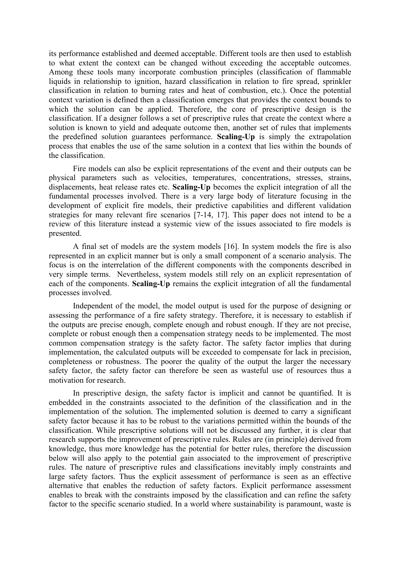its performance established and deemed acceptable. Different tools are then used to establish to what extent the context can be changed without exceeding the acceptable outcomes. Among these tools many incorporate combustion principles (classification of flammable liquids in relationship to ignition, hazard classification in relation to fire spread, sprinkler classification in relation to burning rates and heat of combustion, etc.). Once the potential context variation is defined then a classification emerges that provides the context bounds to which the solution can be applied. Therefore, the core of prescriptive design is the classification. If a designer follows a set of prescriptive rules that create the context where a solution is known to yield and adequate outcome then, another set of rules that implements the predefined solution guarantees performance. **Scaling-Up** is simply the extrapolation process that enables the use of the same solution in a context that lies within the bounds of the classification.

Fire models can also be explicit representations of the event and their outputs can be physical parameters such as velocities, temperatures, concentrations, stresses, strains, displacements, heat release rates etc. **Scaling-Up** becomes the explicit integration of all the fundamental processes involved. There is a very large body of literature focusing in the development of explicit fire models, their predictive capabilities and different validation strategies for many relevant fire scenarios [7-14, 17]. This paper does not intend to be a review of this literature instead a systemic view of the issues associated to fire models is presented.

A final set of models are the system models [16]. In system models the fire is also represented in an explicit manner but is only a small component of a scenario analysis. The focus is on the interrelation of the different components with the components described in very simple terms. Nevertheless, system models still rely on an explicit representation of each of the components. **Scaling-Up** remains the explicit integration of all the fundamental processes involved.

Independent of the model, the model output is used for the purpose of designing or assessing the performance of a fire safety strategy. Therefore, it is necessary to establish if the outputs are precise enough, complete enough and robust enough. If they are not precise, complete or robust enough then a compensation strategy needs to be implemented. The most common compensation strategy is the safety factor. The safety factor implies that during implementation, the calculated outputs will be exceeded to compensate for lack in precision, completeness or robustness. The poorer the quality of the output the larger the necessary safety factor, the safety factor can therefore be seen as wasteful use of resources thus a motivation for research.

In prescriptive design, the safety factor is implicit and cannot be quantified. It is embedded in the constraints associated to the definition of the classification and in the implementation of the solution. The implemented solution is deemed to carry a significant safety factor because it has to be robust to the variations permitted within the bounds of the classification. While prescriptive solutions will not be discussed any further, it is clear that research supports the improvement of prescriptive rules. Rules are (in principle) derived from knowledge, thus more knowledge has the potential for better rules, therefore the discussion below will also apply to the potential gain associated to the improvement of prescriptive rules. The nature of prescriptive rules and classifications inevitably imply constraints and large safety factors. Thus the explicit assessment of performance is seen as an effective alternative that enables the reduction of safety factors. Explicit performance assessment enables to break with the constraints imposed by the classification and can refine the safety factor to the specific scenario studied. In a world where sustainability is paramount, waste is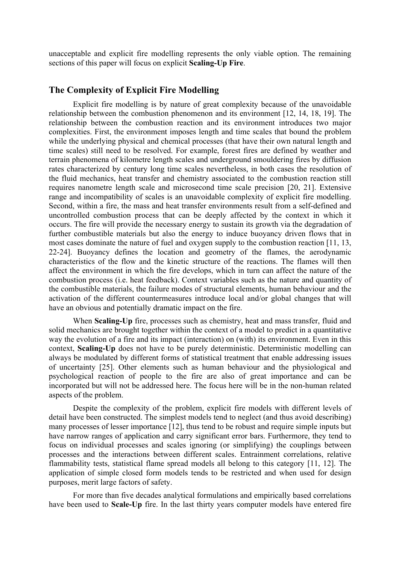unacceptable and explicit fire modelling represents the only viable option. The remaining sections of this paper will focus on explicit **Scaling-Up Fire**.

## **The Complexity of Explicit Fire Modelling**

Explicit fire modelling is by nature of great complexity because of the unavoidable relationship between the combustion phenomenon and its environment [12, 14, 18, 19]. The relationship between the combustion reaction and its environment introduces two major complexities. First, the environment imposes length and time scales that bound the problem while the underlying physical and chemical processes (that have their own natural length and time scales) still need to be resolved. For example, forest fires are defined by weather and terrain phenomena of kilometre length scales and underground smouldering fires by diffusion rates characterized by century long time scales nevertheless, in both cases the resolution of the fluid mechanics, heat transfer and chemistry associated to the combustion reaction still requires nanometre length scale and microsecond time scale precision [20, 21]. Extensive range and incompatibility of scales is an unavoidable complexity of explicit fire modelling. Second, within a fire, the mass and heat transfer environments result from a self-defined and uncontrolled combustion process that can be deeply affected by the context in which it occurs. The fire will provide the necessary energy to sustain its growth via the degradation of further combustible materials but also the energy to induce buoyancy driven flows that in most cases dominate the nature of fuel and oxygen supply to the combustion reaction [11, 13, 22-24]. Buoyancy defines the location and geometry of the flames, the aerodynamic characteristics of the flow and the kinetic structure of the reactions. The flames will then affect the environment in which the fire develops, which in turn can affect the nature of the combustion process (i.e. heat feedback). Context variables such as the nature and quantity of the combustible materials, the failure modes of structural elements, human behaviour and the activation of the different countermeasures introduce local and/or global changes that will have an obvious and potentially dramatic impact on the fire.

When **Scaling-Up** fire, processes such as chemistry, heat and mass transfer, fluid and solid mechanics are brought together within the context of a model to predict in a quantitative way the evolution of a fire and its impact (interaction) on (with) its environment. Even in this context, **Scaling-Up** does not have to be purely deterministic. Deterministic modelling can always be modulated by different forms of statistical treatment that enable addressing issues of uncertainty [25]. Other elements such as human behaviour and the physiological and psychological reaction of people to the fire are also of great importance and can be incorporated but will not be addressed here. The focus here will be in the non-human related aspects of the problem.

Despite the complexity of the problem, explicit fire models with different levels of detail have been constructed. The simplest models tend to neglect (and thus avoid describing) many processes of lesser importance [12], thus tend to be robust and require simple inputs but have narrow ranges of application and carry significant error bars. Furthermore, they tend to focus on individual processes and scales ignoring (or simplifying) the couplings between processes and the interactions between different scales. Entrainment correlations, relative flammability tests, statistical flame spread models all belong to this category [11, 12]. The application of simple closed form models tends to be restricted and when used for design purposes, merit large factors of safety.

For more than five decades analytical formulations and empirically based correlations have been used to **Scale-Up** fire. In the last thirty years computer models have entered fire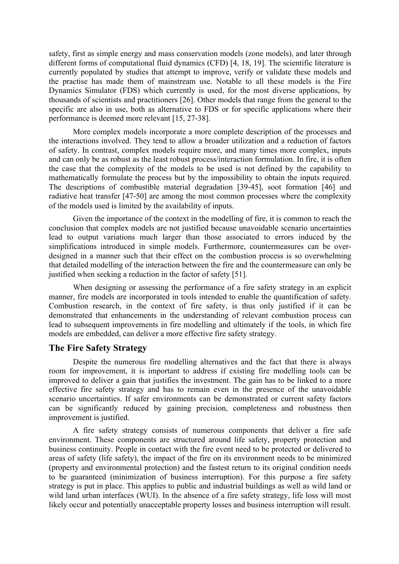safety, first as simple energy and mass conservation models (zone models), and later through different forms of computational fluid dynamics (CFD) [4, 18, 19]. The scientific literature is currently populated by studies that attempt to improve, verify or validate these models and the practise has made them of mainstream use. Notable to all these models is the Fire Dynamics Simulator (FDS) which currently is used, for the most diverse applications, by thousands of scientists and practitioners [26]. Other models that range from the general to the specific are also in use, both as alternative to FDS or for specific applications where their performance is deemed more relevant [15, 27-38].

More complex models incorporate a more complete description of the processes and the interactions involved. They tend to allow a broader utilization and a reduction of factors of safety. In contrast, complex models require more, and many times more complex, inputs and can only be as robust as the least robust process/interaction formulation. In fire, it is often the case that the complexity of the models to be used is not defined by the capability to mathematically formulate the process but by the impossibility to obtain the inputs required. The descriptions of combustible material degradation [39-45], soot formation [46] and radiative heat transfer [47-50] are among the most common processes where the complexity of the models used is limited by the availability of inputs.

Given the importance of the context in the modelling of fire, it is common to reach the conclusion that complex models are not justified because unavoidable scenario uncertainties lead to output variations much larger than those associated to errors induced by the simplifications introduced in simple models. Furthermore, countermeasures can be overdesigned in a manner such that their effect on the combustion process is so overwhelming that detailed modelling of the interaction between the fire and the countermeasure can only be justified when seeking a reduction in the factor of safety [51].

When designing or assessing the performance of a fire safety strategy in an explicit manner, fire models are incorporated in tools intended to enable the quantification of safety. Combustion research, in the context of fire safety, is thus only justified if it can be demonstrated that enhancements in the understanding of relevant combustion process can lead to subsequent improvements in fire modelling and ultimately if the tools, in which fire models are embedded, can deliver a more effective fire safety strategy.

# **The Fire Safety Strategy**

Despite the numerous fire modelling alternatives and the fact that there is always room for improvement, it is important to address if existing fire modelling tools can be improved to deliver a gain that justifies the investment. The gain has to be linked to a more effective fire safety strategy and has to remain even in the presence of the unavoidable scenario uncertainties. If safer environments can be demonstrated or current safety factors can be significantly reduced by gaining precision, completeness and robustness then improvement is justified.

A fire safety strategy consists of numerous components that deliver a fire safe environment. These components are structured around life safety, property protection and business continuity. People in contact with the fire event need to be protected or delivered to areas of safety (life safety), the impact of the fire on its environment needs to be minimized (property and environmental protection) and the fastest return to its original condition needs to be guaranteed (minimization of business interruption). For this purpose a fire safety strategy is put in place. This applies to public and industrial buildings as well as wild land or wild land urban interfaces (WUI). In the absence of a fire safety strategy, life loss will most likely occur and potentially unacceptable property losses and business interruption will result.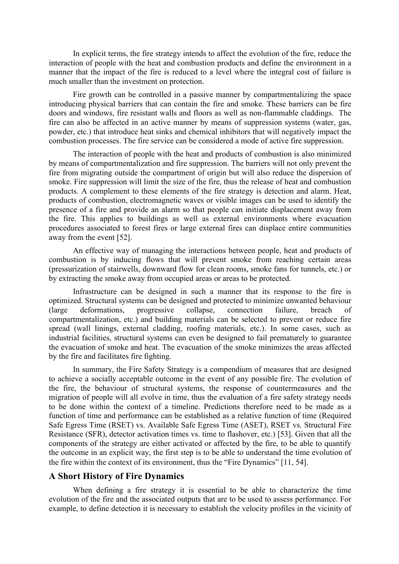In explicit terms, the fire strategy intends to affect the evolution of the fire, reduce the interaction of people with the heat and combustion products and define the environment in a manner that the impact of the fire is reduced to a level where the integral cost of failure is much smaller than the investment on protection.

Fire growth can be controlled in a passive manner by compartmentalizing the space introducing physical barriers that can contain the fire and smoke. These barriers can be fire doors and windows, fire resistant walls and floors as well as non-flammable claddings. The fire can also be affected in an active manner by means of suppression systems (water, gas, powder, etc.) that introduce heat sinks and chemical inhibitors that will negatively impact the combustion processes. The fire service can be considered a mode of active fire suppression.

The interaction of people with the heat and products of combustion is also minimized by means of compartmentalization and fire suppression. The barriers will not only prevent the fire from migrating outside the compartment of origin but will also reduce the dispersion of smoke. Fire suppression will limit the size of the fire, thus the release of heat and combustion products. A complement to these elements of the fire strategy is detection and alarm. Heat, products of combustion, electromagnetic waves or visible images can be used to identify the presence of a fire and provide an alarm so that people can initiate displacement away from the fire. This applies to buildings as well as external environments where evacuation procedures associated to forest fires or large external fires can displace entire communities away from the event [52].

An effective way of managing the interactions between people, heat and products of combustion is by inducing flows that will prevent smoke from reaching certain areas (pressurization of stairwells, downward flow for clean rooms, smoke fans for tunnels, etc.) or by extracting the smoke away from occupied areas or areas to be protected.

Infrastructure can be designed in such a manner that its response to the fire is optimized. Structural systems can be designed and protected to minimize unwanted behaviour (large deformations, progressive collapse, connection failure, breach of compartmentalization, etc.) and building materials can be selected to prevent or reduce fire spread (wall linings, external cladding, roofing materials, etc.). In some cases, such as industrial facilities, structural systems can even be designed to fail prematurely to guarantee the evacuation of smoke and heat. The evacuation of the smoke minimizes the areas affected by the fire and facilitates fire fighting.

In summary, the Fire Safety Strategy is a compendium of measures that are designed to achieve a socially acceptable outcome in the event of any possible fire. The evolution of the fire, the behaviour of structural systems, the response of countermeasures and the migration of people will all evolve in time, thus the evaluation of a fire safety strategy needs to be done within the context of a timeline. Predictions therefore need to be made as a function of time and performance can be established as a relative function of time (Required Safe Egress Time (RSET) vs. Available Safe Egress Time (ASET), RSET vs. Structural Fire Resistance (SFR), detector activation times vs. time to flashover, etc.) [53]. Given that all the components of the strategy are either activated or affected by the fire, to be able to quantify the outcome in an explicit way, the first step is to be able to understand the time evolution of the fire within the context of its environment, thus the "Fire Dynamics" [11, 54].

# **A Short History of Fire Dynamics**

When defining a fire strategy it is essential to be able to characterize the time evolution of the fire and the associated outputs that are to be used to assess performance. For example, to define detection it is necessary to establish the velocity profiles in the vicinity of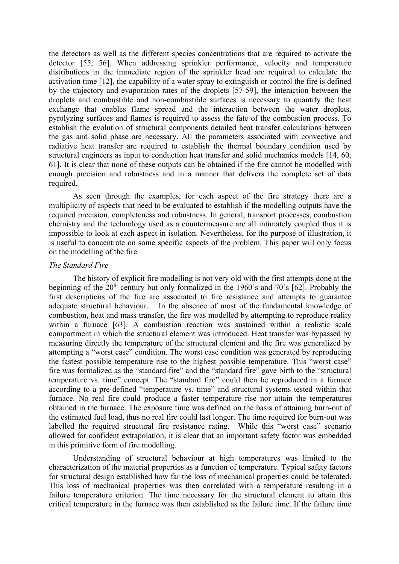the detectors as well as the different species concentrations that are required to activate the detector [55, 56]. When addressing sprinkler performance, velocity and temperature distributions in the immediate region of the sprinkler head are required to calculate the activation time [12], the capability of a water spray to extinguish or control the fire is defined by the trajectory and evaporation rates of the droplets [57-59], the interaction between the droplets and combustible and non-combustible surfaces is necessary to quantify the heat exchange that enables flame spread and the interaction between the water droplets, pyrolyzing surfaces and flames is required to assess the fate of the combustion process. To establish the evolution of structural components detailed heat transfer calculations between the gas and solid phase are necessary. All the parameters associated with convective and radiative heat transfer are required to establish the thermal boundary condition used by structural engineers as input to conduction heat transfer and solid mechanics models [14, 60, 61]. It is clear that none of these outputs can be obtained if the fire cannot be modelled with enough precision and robustness and in a manner that delivers the complete set of data required.

As seen through the examples, for each aspect of the fire strategy there are a multiplicity of aspects that need to be evaluated to establish if the modelling outputs have the required precision, completeness and robustness. In general, transport processes, combustion chemistry and the technology used as a countermeasure are all intimately coupled thus it is impossible to look at each aspect in isolation. Nevertheless, for the purpose of illustration, it is useful to concentrate on some specific aspects of the problem. This paper will only focus on the modelling of the fire.

### *The Standard Fire*

The history of explicit fire modelling is not very old with the first attempts done at the beginning of the 20th century but only formalized in the 1960's and 70's [62]. Probably the first descriptions of the fire are associated to fire resistance and attempts to guarantee adequate structural behaviour. In the absence of most of the fundamental knowledge of combustion, heat and mass transfer, the fire was modelled by attempting to reproduce reality within a furnace [63]. A combustion reaction was sustained within a realistic scale compartment in which the structural element was introduced. Heat transfer was bypassed by measuring directly the temperature of the structural element and the fire was generalized by attempting a "worst case" condition. The worst case condition was generated by reproducing the fastest possible temperature rise to the highest possible temperature. This "worst case" fire was formalized as the "standard fire" and the "standard fire" gave birth to the "structural temperature vs. time" concept. The "standard fire" could then be reproduced in a furnace according to a pre-defined "temperature vs. time" and structural systems tested within that furnace. No real fire could produce a faster temperature rise nor attain the temperatures obtained in the furnace. The exposure time was defined on the basis of attaining burn-out of the estimated fuel load, thus no real fire could last longer. The time required for burn-out was labelled the required structural fire resistance rating. While this "worst case" scenario allowed for confident extrapolation, it is clear that an important safety factor was embedded in this primitive form of fire modelling.

Understanding of structural behaviour at high temperatures was limited to the characterization of the material properties as a function of temperature. Typical safety factors for structural design established how far the loss of mechanical properties could be tolerated. This loss of mechanical properties was then correlated with a temperature resulting in a failure temperature criterion. The time necessary for the structural element to attain this critical temperature in the furnace was then established as the failure time. If the failure time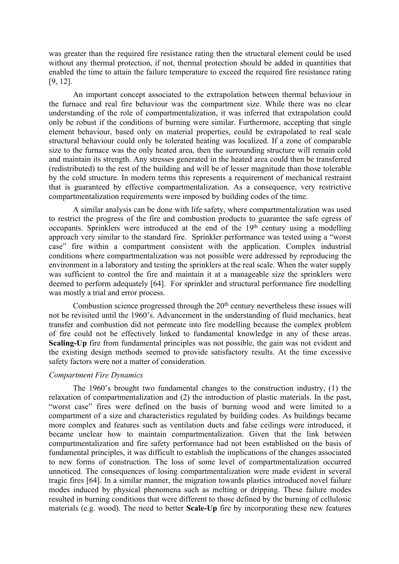was greater than the required fire resistance rating then the structural element could be used without any thermal protection, if not, thermal protection should be added in quantities that enabled the time to attain the failure temperature to exceed the required fire resistance rating [9, 12].

An important concept associated to the extrapolation between thermal behaviour in the furnace and real fire behaviour was the compartment size. While there was no clear understanding of the role of compartmentalization, it was inferred that extrapolation could only be robust if the conditions of burning were similar. Furthermore, accepting that single element behaviour, based only on material properties, could be extrapolated to real scale structural behaviour could only be tolerated heating was localized. If a zone of comparable size to the furnace was the only heated area, then the surrounding structure will remain cold and maintain its strength. Any stresses generated in the heated area could then be transferred (redistributed) to the rest of the building and will be of lesser magnitude than those tolerable by the cold structure. In modern terms this represents a requirement of mechanical restraint that is guaranteed by effective compartmentalization. As a consequence, very restrictive compartmentalization requirements were imposed by building codes of the time.

A similar analysis can be done with life safety, where compartmentalization was used to restrict the progress of the fire and combustion products to guarantee the safe egress of occupants. Sprinklers were introduced at the end of the 19<sup>th</sup> century using a modelling approach very similar to the standard fire. Sprinkler performance was tested using a "worst case" fire within a compartment consistent with the application. Complex industrial conditions where compartmentalization was not possible were addressed by reproducing the environment in a laboratory and testing the sprinklers at the real scale. When the water supply was sufficient to control the fire and maintain it at a manageable size the sprinklers were deemed to perform adequately [64]. For sprinkler and structural performance fire modelling was mostly a trial and error process.

Combustion science progressed through the  $20<sup>th</sup>$  century nevertheless these issues will not be revisited until the 1960's. Advancement in the understanding of fluid mechanics, heat transfer and combustion did not permeate into fire modelling because the complex problem of fire could not be effectively linked to fundamental knowledge in any of these areas. **Scaling-Up** fire from fundamental principles was not possible, the gain was not evident and the existing design methods seemed to provide satisfactory results. At the time excessive safety factors were not a matter of consideration.

### *Compartment Fire Dynamics*

The 1960's brought two fundamental changes to the construction industry, (1) the relaxation of compartmentalization and (2) the introduction of plastic materials. In the past, "worst case" fires were defined on the basis of burning wood and were limited to a compartment of a size and characteristics regulated by building codes. As buildings became more complex and features such as ventilation ducts and false ceilings were introduced, it became unclear how to maintain compartmentalization. Given that the link between compartmentalization and fire safety performance had not been established on the basis of fundamental principles, it was difficult to establish the implications of the changes associated to new forms of construction. The loss of some level of compartmentalization occurred unnoticed. The consequences of losing compartmentalization were made evident in several tragic fires [64]. In a similar manner, the migration towards plastics introduced novel failure modes induced by physical phenomena such as melting or dripping. These failure modes resulted in burning conditions that were different to those defined by the burning of cellulosic materials (e.g. wood). The need to better **Scale-Up** fire by incorporating these new features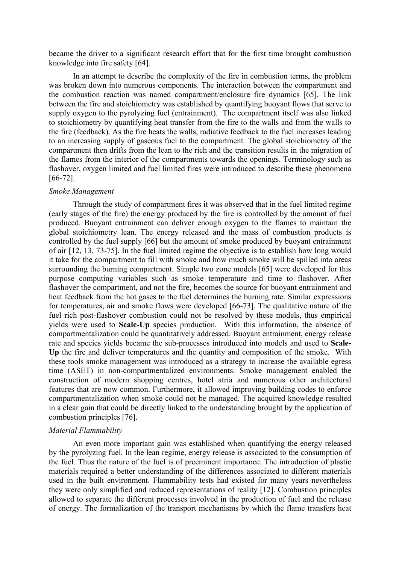became the driver to a significant research effort that for the first time brought combustion knowledge into fire safety [64].

In an attempt to describe the complexity of the fire in combustion terms, the problem was broken down into numerous components. The interaction between the compartment and the combustion reaction was named compartment/enclosure fire dynamics [65]. The link between the fire and stoichiometry was established by quantifying buoyant flows that serve to supply oxygen to the pyrolyzing fuel (entrainment). The compartment itself was also linked to stoichiometry by quantifying heat transfer from the fire to the walls and from the walls to the fire (feedback). As the fire heats the walls, radiative feedback to the fuel increases leading to an increasing supply of gaseous fuel to the compartment. The global stoichiometry of the compartment then drifts from the lean to the rich and the transition results in the migration of the flames from the interior of the compartments towards the openings. Terminology such as flashover, oxygen limited and fuel limited fires were introduced to describe these phenomena  $[66-72]$ .

#### *Smoke Management*

Through the study of compartment fires it was observed that in the fuel limited regime (early stages of the fire) the energy produced by the fire is controlled by the amount of fuel produced. Buoyant entrainment can deliver enough oxygen to the flames to maintain the global stoichiometry lean. The energy released and the mass of combustion products is controlled by the fuel supply [66] but the amount of smoke produced by buoyant entrainment of air [12, 13, 73-75]. In the fuel limited regime the objective is to establish how long would it take for the compartment to fill with smoke and how much smoke will be spilled into areas surrounding the burning compartment. Simple two zone models [65] were developed for this purpose computing variables such as smoke temperature and time to flashover. After flashover the compartment, and not the fire, becomes the source for buoyant entrainment and heat feedback from the hot gases to the fuel determines the burning rate. Similar expressions for temperatures, air and smoke flows were developed [66-73]. The qualitative nature of the fuel rich post-flashover combustion could not be resolved by these models, thus empirical yields were used to **Scale-Up** species production. With this information, the absence of compartmentalization could be quantitatively addressed. Buoyant entrainment, energy release rate and species yields became the sub-processes introduced into models and used to **Scale-Up** the fire and deliver temperatures and the quantity and composition of the smoke. With these tools smoke management was introduced as a strategy to increase the available egress time (ASET) in non-compartmentalized environments. Smoke management enabled the construction of modern shopping centres, hotel atria and numerous other architectural features that are now common. Furthermore, it allowed improving building codes to enforce compartmentalization when smoke could not be managed. The acquired knowledge resulted in a clear gain that could be directly linked to the understanding brought by the application of combustion principles [76].

## *Material Flammability*

An even more important gain was established when quantifying the energy released by the pyrolyzing fuel. In the lean regime, energy release is associated to the consumption of the fuel. Thus the nature of the fuel is of preeminent importance. The introduction of plastic materials required a better understanding of the differences associated to different materials used in the built environment. Flammability tests had existed for many years nevertheless they were only simplified and reduced representations of reality [12]. Combustion principles allowed to separate the different processes involved in the production of fuel and the release of energy. The formalization of the transport mechanisms by which the flame transfers heat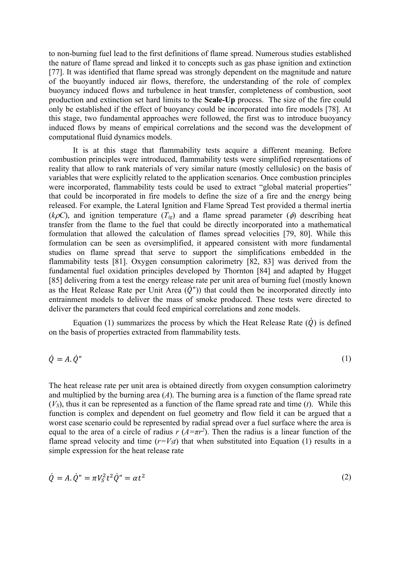to non-burning fuel lead to the first definitions of flame spread. Numerous studies established the nature of flame spread and linked it to concepts such as gas phase ignition and extinction [77]. It was identified that flame spread was strongly dependent on the magnitude and nature of the buoyantly induced air flows, therefore, the understanding of the role of complex buoyancy induced flows and turbulence in heat transfer, completeness of combustion, soot production and extinction set hard limits to the **Scale-Up** process. The size of the fire could only be established if the effect of buoyancy could be incorporated into fire models [78]. At this stage, two fundamental approaches were followed, the first was to introduce buoyancy induced flows by means of empirical correlations and the second was the development of computational fluid dynamics models.

It is at this stage that flammability tests acquire a different meaning. Before combustion principles were introduced, flammability tests were simplified representations of reality that allow to rank materials of very similar nature (mostly cellulosic) on the basis of variables that were explicitly related to the application scenarios. Once combustion principles were incorporated, flammability tests could be used to extract "global material properties" that could be incorporated in fire models to define the size of a fire and the energy being released. For example, the Lateral Ignition and Flame Spread Test provided a thermal inertia ( $k\rho C$ ), and ignition temperature  $(T_{ig})$  and a flame spread parameter ( $\phi$ ) describing heat transfer from the flame to the fuel that could be directly incorporated into a mathematical formulation that allowed the calculation of flames spread velocities [79, 80]. While this formulation can be seen as oversimplified, it appeared consistent with more fundamental studies on flame spread that serve to support the simplifications embedded in the flammability tests [81]. Oxygen consumption calorimetry [82, 83] was derived from the fundamental fuel oxidation principles developed by Thornton [84] and adapted by Hugget [85] delivering from a test the energy release rate per unit area of burning fuel (mostly known as the Heat Release Rate per Unit Area  $(\dot{Q}^{\prime\prime})$  that could then be incorporated directly into entrainment models to deliver the mass of smoke produced. These tests were directed to deliver the parameters that could feed empirical correlations and zone models.

Equation (1) summarizes the process by which the Heat Release Rate  $(\dot{Q})$  is defined on the basis of properties extracted from flammability tests.

$$
\dot{Q} = A.\,\dot{Q}''\tag{1}
$$

The heat release rate per unit area is obtained directly from oxygen consumption calorimetry and multiplied by the burning area (*A*). The burning area is a function of the flame spread rate (*VS*), thus it can be represented as a function of the flame spread rate and time (*t*). While this function is complex and dependent on fuel geometry and flow field it can be argued that a worst case scenario could be represented by radial spread over a fuel surface where the area is equal to the area of a circle of radius  $r(A=\pi r^2)$ . Then the radius is a linear function of the flame spread velocity and time  $(r=V<sub>st</sub>)$  that when substituted into Equation (1) results in a simple expression for the heat release rate

$$
\dot{Q} = A \cdot \dot{Q}^{\prime\prime} = \pi V_S^2 t^2 \dot{Q}^{\prime\prime} = \alpha t^2 \tag{2}
$$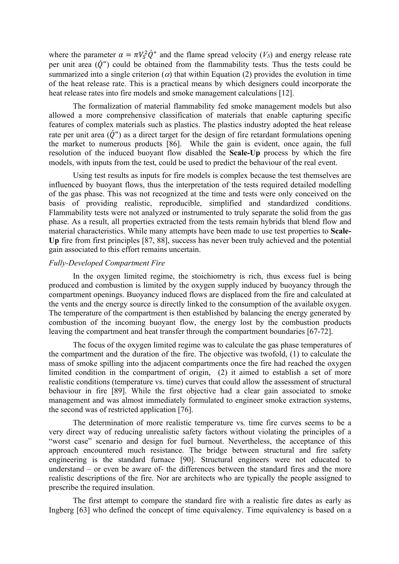where the parameter  $\alpha = \pi V_s^2 \dot{Q}$ " and the flame spread velocity (*V<sub>S</sub>*) and energy release rate per unit area  $(\dot{Q}^{\prime\prime})$  could be obtained from the flammability tests. Thus the tests could be summarized into a single criterion  $\alpha$ ) that within Equation (2) provides the evolution in time of the heat release rate. This is a practical means by which designers could incorporate the heat release rates into fire models and smoke management calculations [12].

The formalization of material flammability fed smoke management models but also allowed a more comprehensive classification of materials that enable capturing specific features of complex materials such as plastics. The plastics industry adopted the heat release rate per unit area  $(\dot{Q}^{\prime\prime})$  as a direct target for the design of fire retardant formulations opening the market to numerous products [86]. While the gain is evident, once again, the full resolution of the induced buoyant flow disabled the **Scale-Up** process by which the fire models, with inputs from the test, could be used to predict the behaviour of the real event.

Using test results as inputs for fire models is complex because the test themselves are influenced by buoyant flows, thus the interpretation of the tests required detailed modelling of the gas phase. This was not recognized at the time and tests were only conceived on the basis of providing realistic, reproducible, simplified and standardized conditions. Flammability tests were not analyzed or instrumented to truly separate the solid from the gas phase. As a result, all properties extracted from the tests remain hybrids that blend flow and material characteristics. While many attempts have been made to use test properties to **Scale-Up** fire from first principles [87, 88], success has never been truly achieved and the potential gain associated to this effort remains uncertain.

### *Fully-Developed Compartment Fire*

In the oxygen limited regime, the stoichiometry is rich, thus excess fuel is being produced and combustion is limited by the oxygen supply induced by buoyancy through the compartment openings. Buoyancy induced flows are displaced from the fire and calculated at the vents and the energy source is directly linked to the consumption of the available oxygen. The temperature of the compartment is then established by balancing the energy generated by combustion of the incoming buoyant flow, the energy lost by the combustion products leaving the compartment and heat transfer through the compartment boundaries [67-72].

The focus of the oxygen limited regime was to calculate the gas phase temperatures of the compartment and the duration of the fire. The objective was twofold, (1) to calculate the mass of smoke spilling into the adjacent compartments once the fire had reached the oxygen limited condition in the compartment of origin, (2) it aimed to establish a set of more realistic conditions (temperature vs. time) curves that could allow the assessment of structural behaviour in fire [89]. While the first objective had a clear gain associated to smoke management and was almost immediately formulated to engineer smoke extraction systems, the second was of restricted application [76].

The determination of more realistic temperature vs. time fire curves seems to be a very direct way of reducing unrealistic safety factors without violating the principles of a "worst case" scenario and design for fuel burnout. Nevertheless, the acceptance of this approach encountered much resistance. The bridge between structural and fire safety engineering is the standard furnace [90]. Structural engineers were not educated to understand – or even be aware of- the differences between the standard fires and the more realistic descriptions of the fire. Nor are architects who are typically the people assigned to prescribe the required insulation.

The first attempt to compare the standard fire with a realistic fire dates as early as Ingberg [63] who defined the concept of time equivalency. Time equivalency is based on a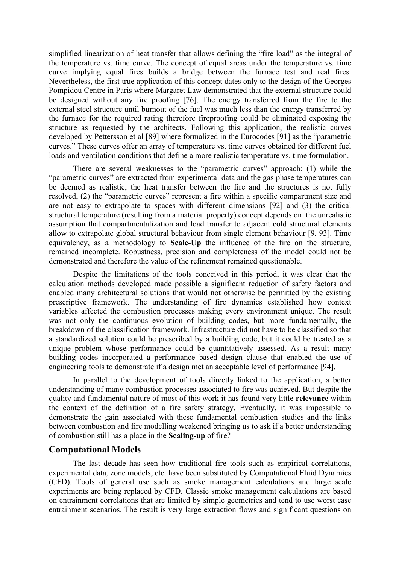simplified linearization of heat transfer that allows defining the "fire load" as the integral of the temperature vs. time curve. The concept of equal areas under the temperature vs. time curve implying equal fires builds a bridge between the furnace test and real fires. Nevertheless, the first true application of this concept dates only to the design of the Georges Pompidou Centre in Paris where Margaret Law demonstrated that the external structure could be designed without any fire proofing [76]. The energy transferred from the fire to the external steel structure until burnout of the fuel was much less than the energy transferred by the furnace for the required rating therefore fireproofing could be eliminated exposing the structure as requested by the architects. Following this application, the realistic curves developed by Pettersson et al [89] where formalized in the Eurocodes [91] as the "parametric curves." These curves offer an array of temperature vs. time curves obtained for different fuel loads and ventilation conditions that define a more realistic temperature vs. time formulation.

There are several weaknesses to the "parametric curves" approach: (1) while the "parametric curves" are extracted from experimental data and the gas phase temperatures can be deemed as realistic, the heat transfer between the fire and the structures is not fully resolved, (2) the "parametric curves" represent a fire within a specific compartment size and are not easy to extrapolate to spaces with different dimensions [92] and (3) the critical structural temperature (resulting from a material property) concept depends on the unrealistic assumption that compartmentalization and load transfer to adjacent cold structural elements allow to extrapolate global structural behaviour from single element behaviour [9, 93]. Time equivalency, as a methodology to **Scale-Up** the influence of the fire on the structure, remained incomplete. Robustness, precision and completeness of the model could not be demonstrated and therefore the value of the refinement remained questionable.

Despite the limitations of the tools conceived in this period, it was clear that the calculation methods developed made possible a significant reduction of safety factors and enabled many architectural solutions that would not otherwise be permitted by the existing prescriptive framework. The understanding of fire dynamics established how context variables affected the combustion processes making every environment unique. The result was not only the continuous evolution of building codes, but more fundamentally, the breakdown of the classification framework. Infrastructure did not have to be classified so that a standardized solution could be prescribed by a building code, but it could be treated as a unique problem whose performance could be quantitatively assessed. As a result many building codes incorporated a performance based design clause that enabled the use of engineering tools to demonstrate if a design met an acceptable level of performance [94].

In parallel to the development of tools directly linked to the application, a better understanding of many combustion processes associated to fire was achieved. But despite the quality and fundamental nature of most of this work it has found very little **relevance** within the context of the definition of a fire safety strategy. Eventually, it was impossible to demonstrate the gain associated with these fundamental combustion studies and the links between combustion and fire modelling weakened bringing us to ask if a better understanding of combustion still has a place in the **Scaling-up** of fire?

# **Computational Models**

The last decade has seen how traditional fire tools such as empirical correlations, experimental data, zone models, etc. have been substituted by Computational Fluid Dynamics (CFD). Tools of general use such as smoke management calculations and large scale experiments are being replaced by CFD. Classic smoke management calculations are based on entrainment correlations that are limited by simple geometries and tend to use worst case entrainment scenarios. The result is very large extraction flows and significant questions on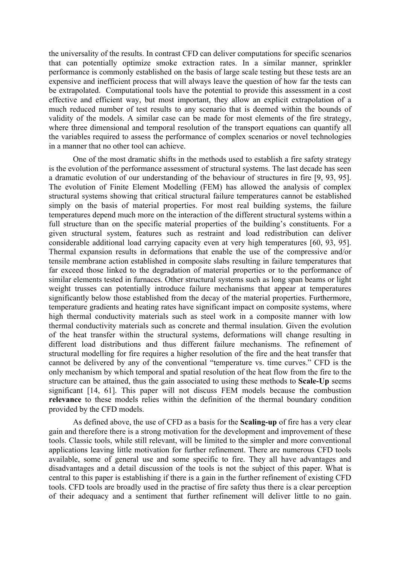the universality of the results. In contrast CFD can deliver computations for specific scenarios that can potentially optimize smoke extraction rates. In a similar manner, sprinkler performance is commonly established on the basis of large scale testing but these tests are an expensive and inefficient process that will always leave the question of how far the tests can be extrapolated. Computational tools have the potential to provide this assessment in a cost effective and efficient way, but most important, they allow an explicit extrapolation of a much reduced number of test results to any scenario that is deemed within the bounds of validity of the models. A similar case can be made for most elements of the fire strategy, where three dimensional and temporal resolution of the transport equations can quantify all the variables required to assess the performance of complex scenarios or novel technologies in a manner that no other tool can achieve.

One of the most dramatic shifts in the methods used to establish a fire safety strategy is the evolution of the performance assessment of structural systems. The last decade has seen a dramatic evolution of our understanding of the behaviour of structures in fire [9, 93, 95]. The evolution of Finite Element Modelling (FEM) has allowed the analysis of complex structural systems showing that critical structural failure temperatures cannot be established simply on the basis of material properties. For most real building systems, the failure temperatures depend much more on the interaction of the different structural systems within a full structure than on the specific material properties of the building's constituents. For a given structural system, features such as restraint and load redistribution can deliver considerable additional load carrying capacity even at very high temperatures [60, 93, 95]. Thermal expansion results in deformations that enable the use of the compressive and/or tensile membrane action established in composite slabs resulting in failure temperatures that far exceed those linked to the degradation of material properties or to the performance of similar elements tested in furnaces. Other structural systems such as long span beams or light weight trusses can potentially introduce failure mechanisms that appear at temperatures significantly below those established from the decay of the material properties. Furthermore, temperature gradients and heating rates have significant impact on composite systems, where high thermal conductivity materials such as steel work in a composite manner with low thermal conductivity materials such as concrete and thermal insulation. Given the evolution of the heat transfer within the structural systems, deformations will change resulting in different load distributions and thus different failure mechanisms. The refinement of structural modelling for fire requires a higher resolution of the fire and the heat transfer that cannot be delivered by any of the conventional "temperature vs. time curves." CFD is the only mechanism by which temporal and spatial resolution of the heat flow from the fire to the structure can be attained, thus the gain associated to using these methods to **Scale-Up** seems significant [14, 61]. This paper will not discuss FEM models because the combustion **relevance** to these models relies within the definition of the thermal boundary condition provided by the CFD models.

As defined above, the use of CFD as a basis for the **Scaling-up** of fire has a very clear gain and therefore there is a strong motivation for the development and improvement of these tools. Classic tools, while still relevant, will be limited to the simpler and more conventional applications leaving little motivation for further refinement. There are numerous CFD tools available, some of general use and some specific to fire. They all have advantages and disadvantages and a detail discussion of the tools is not the subject of this paper. What is central to this paper is establishing if there is a gain in the further refinement of existing CFD tools. CFD tools are broadly used in the practise of fire safety thus there is a clear perception of their adequacy and a sentiment that further refinement will deliver little to no gain.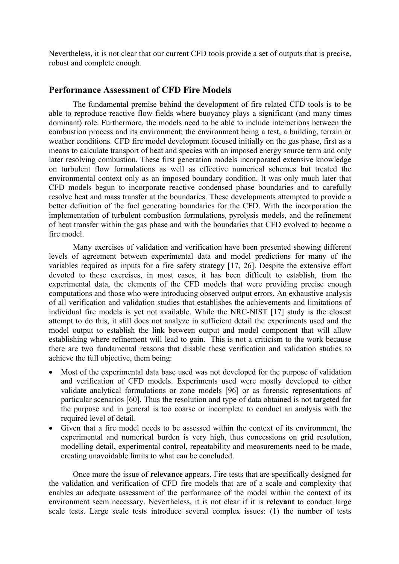Nevertheless, it is not clear that our current CFD tools provide a set of outputs that is precise, robust and complete enough.

# **Performance Assessment of CFD Fire Models**

The fundamental premise behind the development of fire related CFD tools is to be able to reproduce reactive flow fields where buoyancy plays a significant (and many times dominant) role. Furthermore, the models need to be able to include interactions between the combustion process and its environment; the environment being a test, a building, terrain or weather conditions. CFD fire model development focused initially on the gas phase, first as a means to calculate transport of heat and species with an imposed energy source term and only later resolving combustion. These first generation models incorporated extensive knowledge on turbulent flow formulations as well as effective numerical schemes but treated the environmental context only as an imposed boundary condition. It was only much later that CFD models begun to incorporate reactive condensed phase boundaries and to carefully resolve heat and mass transfer at the boundaries. These developments attempted to provide a better definition of the fuel generating boundaries for the CFD. With the incorporation the implementation of turbulent combustion formulations, pyrolysis models, and the refinement of heat transfer within the gas phase and with the boundaries that CFD evolved to become a fire model.

Many exercises of validation and verification have been presented showing different levels of agreement between experimental data and model predictions for many of the variables required as inputs for a fire safety strategy [17, 26]. Despite the extensive effort devoted to these exercises, in most cases, it has been difficult to establish, from the experimental data, the elements of the CFD models that were providing precise enough computations and those who were introducing observed output errors. An exhaustive analysis of all verification and validation studies that establishes the achievements and limitations of individual fire models is yet not available. While the NRC-NIST [17] study is the closest attempt to do this, it still does not analyze in sufficient detail the experiments used and the model output to establish the link between output and model component that will allow establishing where refinement will lead to gain. This is not a criticism to the work because there are two fundamental reasons that disable these verification and validation studies to achieve the full objective, them being:

- Most of the experimental data base used was not developed for the purpose of validation and verification of CFD models. Experiments used were mostly developed to either validate analytical formulations or zone models [96] or as forensic representations of particular scenarios [60]. Thus the resolution and type of data obtained is not targeted for the purpose and in general is too coarse or incomplete to conduct an analysis with the required level of detail.
- Given that a fire model needs to be assessed within the context of its environment, the experimental and numerical burden is very high, thus concessions on grid resolution, modelling detail, experimental control, repeatability and measurements need to be made, creating unavoidable limits to what can be concluded.

Once more the issue of **relevance** appears. Fire tests that are specifically designed for the validation and verification of CFD fire models that are of a scale and complexity that enables an adequate assessment of the performance of the model within the context of its environment seem necessary. Nevertheless, it is not clear if it is **relevant** to conduct large scale tests. Large scale tests introduce several complex issues: (1) the number of tests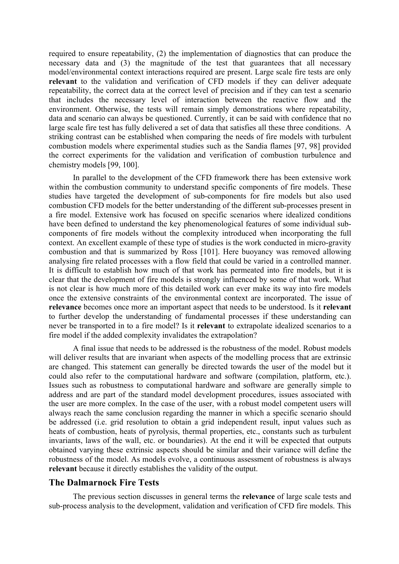required to ensure repeatability, (2) the implementation of diagnostics that can produce the necessary data and (3) the magnitude of the test that guarantees that all necessary model/environmental context interactions required are present. Large scale fire tests are only **relevant** to the validation and verification of CFD models if they can deliver adequate repeatability, the correct data at the correct level of precision and if they can test a scenario that includes the necessary level of interaction between the reactive flow and the environment. Otherwise, the tests will remain simply demonstrations where repeatability, data and scenario can always be questioned. Currently, it can be said with confidence that no large scale fire test has fully delivered a set of data that satisfies all these three conditions. A striking contrast can be established when comparing the needs of fire models with turbulent combustion models where experimental studies such as the Sandia flames [97, 98] provided the correct experiments for the validation and verification of combustion turbulence and chemistry models [99, 100].

In parallel to the development of the CFD framework there has been extensive work within the combustion community to understand specific components of fire models. These studies have targeted the development of sub-components for fire models but also used combustion CFD models for the better understanding of the different sub-processes present in a fire model. Extensive work has focused on specific scenarios where idealized conditions have been defined to understand the key phenomenological features of some individual subcomponents of fire models without the complexity introduced when incorporating the full context. An excellent example of these type of studies is the work conducted in micro-gravity combustion and that is summarized by Ross [101]. Here buoyancy was removed allowing analysing fire related processes with a flow field that could be varied in a controlled manner. It is difficult to establish how much of that work has permeated into fire models, but it is clear that the development of fire models is strongly influenced by some of that work. What is not clear is how much more of this detailed work can ever make its way into fire models once the extensive constraints of the environmental context are incorporated. The issue of **relevance** becomes once more an important aspect that needs to be understood. Is it **relevant** to further develop the understanding of fundamental processes if these understanding can never be transported in to a fire model? Is it **relevant** to extrapolate idealized scenarios to a fire model if the added complexity invalidates the extrapolation?

A final issue that needs to be addressed is the robustness of the model. Robust models will deliver results that are invariant when aspects of the modelling process that are extrinsic are changed. This statement can generally be directed towards the user of the model but it could also refer to the computational hardware and software (compilation, platform, etc.). Issues such as robustness to computational hardware and software are generally simple to address and are part of the standard model development procedures, issues associated with the user are more complex. In the case of the user, with a robust model competent users will always reach the same conclusion regarding the manner in which a specific scenario should be addressed (i.e. grid resolution to obtain a grid independent result, input values such as heats of combustion, heats of pyrolysis, thermal properties, etc., constants such as turbulent invariants, laws of the wall, etc. or boundaries). At the end it will be expected that outputs obtained varying these extrinsic aspects should be similar and their variance will define the robustness of the model. As models evolve, a continuous assessment of robustness is always **relevant** because it directly establishes the validity of the output.

# **The Dalmarnock Fire Tests**

The previous section discusses in general terms the **relevance** of large scale tests and sub-process analysis to the development, validation and verification of CFD fire models. This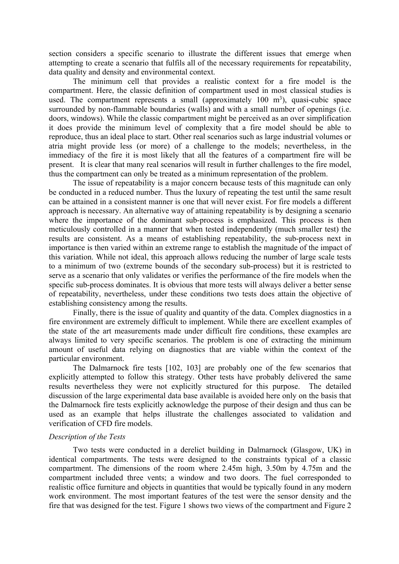section considers a specific scenario to illustrate the different issues that emerge when attempting to create a scenario that fulfils all of the necessary requirements for repeatability, data quality and density and environmental context.

The minimum cell that provides a realistic context for a fire model is the compartment. Here, the classic definition of compartment used in most classical studies is used. The compartment represents a small (approximately  $100 \text{ m}^3$ ), quasi-cubic space surrounded by non-flammable boundaries (walls) and with a small number of openings (i.e. doors, windows). While the classic compartment might be perceived as an over simplification it does provide the minimum level of complexity that a fire model should be able to reproduce, thus an ideal place to start. Other real scenarios such as large industrial volumes or atria might provide less (or more) of a challenge to the models; nevertheless, in the immediacy of the fire it is most likely that all the features of a compartment fire will be present. It is clear that many real scenarios will result in further challenges to the fire model, thus the compartment can only be treated as a minimum representation of the problem.

The issue of repeatability is a major concern because tests of this magnitude can only be conducted in a reduced number. Thus the luxury of repeating the test until the same result can be attained in a consistent manner is one that will never exist. For fire models a different approach is necessary. An alternative way of attaining repeatability is by designing a scenario where the importance of the dominant sub-process is emphasized. This process is then meticulously controlled in a manner that when tested independently (much smaller test) the results are consistent. As a means of establishing repeatability, the sub-process next in importance is then varied within an extreme range to establish the magnitude of the impact of this variation. While not ideal, this approach allows reducing the number of large scale tests to a minimum of two (extreme bounds of the secondary sub-process) but it is restricted to serve as a scenario that only validates or verifies the performance of the fire models when the specific sub-process dominates. It is obvious that more tests will always deliver a better sense of repeatability, nevertheless, under these conditions two tests does attain the objective of establishing consistency among the results.

Finally, there is the issue of quality and quantity of the data. Complex diagnostics in a fire environment are extremely difficult to implement. While there are excellent examples of the state of the art measurements made under difficult fire conditions, these examples are always limited to very specific scenarios. The problem is one of extracting the minimum amount of useful data relying on diagnostics that are viable within the context of the particular environment.

The Dalmarnock fire tests [102, 103] are probably one of the few scenarios that explicitly attempted to follow this strategy. Other tests have probably delivered the same results nevertheless they were not explicitly structured for this purpose. The detailed discussion of the large experimental data base available is avoided here only on the basis that the Dalmarnock fire tests explicitly acknowledge the purpose of their design and thus can be used as an example that helps illustrate the challenges associated to validation and verification of CFD fire models.

### *Description of the Tests*

Two tests were conducted in a derelict building in Dalmarnock (Glasgow, UK) in identical compartments. The tests were designed to the constraints typical of a classic compartment. The dimensions of the room where 2.45m high, 3.50m by 4.75m and the compartment included three vents; a window and two doors. The fuel corresponded to realistic office furniture and objects in quantities that would be typically found in any modern work environment. The most important features of the test were the sensor density and the fire that was designed for the test. Figure 1 shows two views of the compartment and Figure 2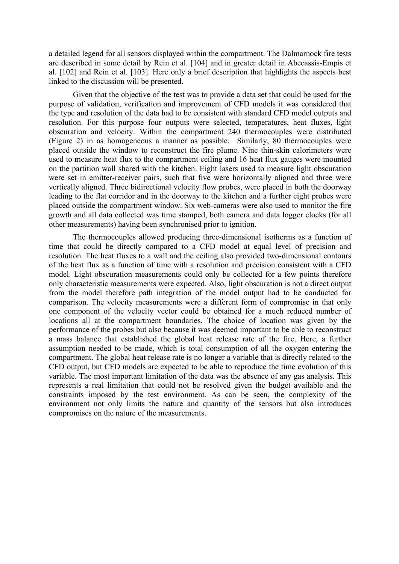a detailed legend for all sensors displayed within the compartment. The Dalmarnock fire tests are described in some detail by Rein et al. [104] and in greater detail in Abecassis-Empis et al. [102] and Rein et al. [103]. Here only a brief description that highlights the aspects best linked to the discussion will be presented.

Given that the objective of the test was to provide a data set that could be used for the purpose of validation, verification and improvement of CFD models it was considered that the type and resolution of the data had to be consistent with standard CFD model outputs and resolution. For this purpose four outputs were selected, temperatures, heat fluxes, light obscuration and velocity. Within the compartment 240 thermocouples were distributed (Figure 2) in as homogeneous a manner as possible. Similarly, 80 thermocouples were placed outside the window to reconstruct the fire plume. Nine thin-skin calorimeters were used to measure heat flux to the compartment ceiling and 16 heat flux gauges were mounted on the partition wall shared with the kitchen. Eight lasers used to measure light obscuration were set in emitter-receiver pairs, such that five were horizontally aligned and three were vertically aligned. Three bidirectional velocity flow probes, were placed in both the doorway leading to the flat corridor and in the doorway to the kitchen and a further eight probes were placed outside the compartment window. Six web-cameras were also used to monitor the fire growth and all data collected was time stamped, both camera and data logger clocks (for all other measurements) having been synchronised prior to ignition.

The thermocouples allowed producing three-dimensional isotherms as a function of time that could be directly compared to a CFD model at equal level of precision and resolution. The heat fluxes to a wall and the ceiling also provided two-dimensional contours of the heat flux as a function of time with a resolution and precision consistent with a CFD model. Light obscuration measurements could only be collected for a few points therefore only characteristic measurements were expected. Also, light obscuration is not a direct output from the model therefore path integration of the model output had to be conducted for comparison. The velocity measurements were a different form of compromise in that only one component of the velocity vector could be obtained for a much reduced number of locations all at the compartment boundaries. The choice of location was given by the performance of the probes but also because it was deemed important to be able to reconstruct a mass balance that established the global heat release rate of the fire. Here, a further assumption needed to be made, which is total consumption of all the oxygen entering the compartment. The global heat release rate is no longer a variable that is directly related to the CFD output, but CFD models are expected to be able to reproduce the time evolution of this variable. The most important limitation of the data was the absence of any gas analysis. This represents a real limitation that could not be resolved given the budget available and the constraints imposed by the test environment. As can be seen, the complexity of the environment not only limits the nature and quantity of the sensors but also introduces compromises on the nature of the measurements.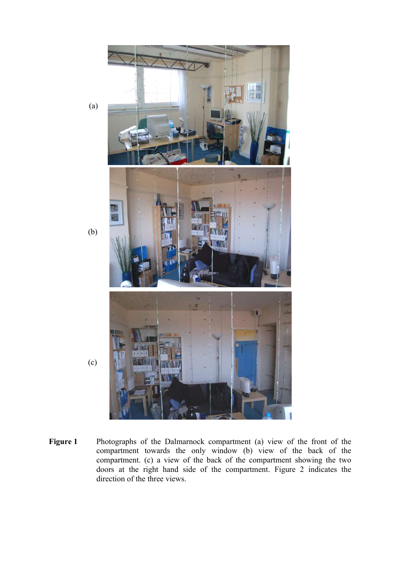

**Figure 1** Photographs of the Dalmarnock compartment (a) view of the front of the compartment towards the only window (b) view of the back of the compartment. (c) a view of the back of the compartment showing the two doors at the right hand side of the compartment. Figure 2 indicates the direction of the three views.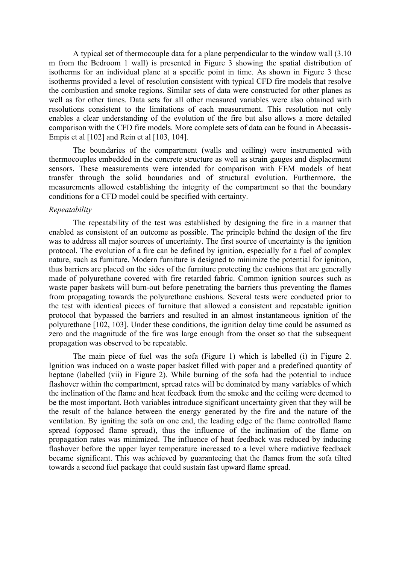A typical set of thermocouple data for a plane perpendicular to the window wall (3.10 m from the Bedroom 1 wall) is presented in Figure 3 showing the spatial distribution of isotherms for an individual plane at a specific point in time. As shown in Figure 3 these isotherms provided a level of resolution consistent with typical CFD fire models that resolve the combustion and smoke regions. Similar sets of data were constructed for other planes as well as for other times. Data sets for all other measured variables were also obtained with resolutions consistent to the limitations of each measurement. This resolution not only enables a clear understanding of the evolution of the fire but also allows a more detailed comparison with the CFD fire models. More complete sets of data can be found in Abecassis-Empis et al [102] and Rein et al [103, 104].

The boundaries of the compartment (walls and ceiling) were instrumented with thermocouples embedded in the concrete structure as well as strain gauges and displacement sensors. These measurements were intended for comparison with FEM models of heat transfer through the solid boundaries and of structural evolution. Furthermore, the measurements allowed establishing the integrity of the compartment so that the boundary conditions for a CFD model could be specified with certainty.

### *Repeatability*

The repeatability of the test was established by designing the fire in a manner that enabled as consistent of an outcome as possible. The principle behind the design of the fire was to address all major sources of uncertainty. The first source of uncertainty is the ignition protocol. The evolution of a fire can be defined by ignition, especially for a fuel of complex nature, such as furniture. Modern furniture is designed to minimize the potential for ignition, thus barriers are placed on the sides of the furniture protecting the cushions that are generally made of polyurethane covered with fire retarded fabric. Common ignition sources such as waste paper baskets will burn-out before penetrating the barriers thus preventing the flames from propagating towards the polyurethane cushions. Several tests were conducted prior to the test with identical pieces of furniture that allowed a consistent and repeatable ignition protocol that bypassed the barriers and resulted in an almost instantaneous ignition of the polyurethane [102, 103]. Under these conditions, the ignition delay time could be assumed as zero and the magnitude of the fire was large enough from the onset so that the subsequent propagation was observed to be repeatable.

The main piece of fuel was the sofa (Figure 1) which is labelled (i) in Figure 2. Ignition was induced on a waste paper basket filled with paper and a predefined quantity of heptane (labelled (vii) in Figure 2). While burning of the sofa had the potential to induce flashover within the compartment, spread rates will be dominated by many variables of which the inclination of the flame and heat feedback from the smoke and the ceiling were deemed to be the most important. Both variables introduce significant uncertainty given that they will be the result of the balance between the energy generated by the fire and the nature of the ventilation. By igniting the sofa on one end, the leading edge of the flame controlled flame spread (opposed flame spread), thus the influence of the inclination of the flame on propagation rates was minimized. The influence of heat feedback was reduced by inducing flashover before the upper layer temperature increased to a level where radiative feedback became significant. This was achieved by guaranteeing that the flames from the sofa tilted towards a second fuel package that could sustain fast upward flame spread.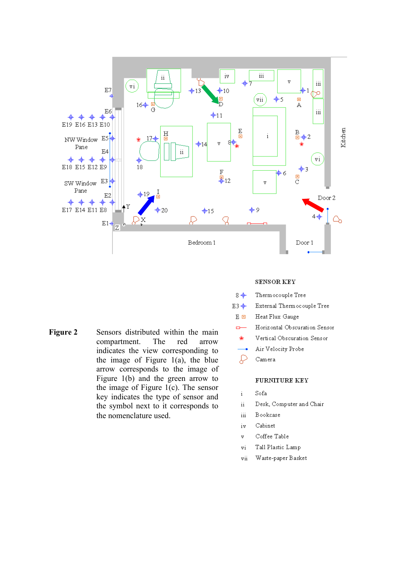

#### **SENSOR KEY**

- $8 +$ Thermocouple Tree
- $E3 +$ External Thermocouple Tree
- $E$   $\Box$ Heat Flux Gauge
- $\overline{a}$ Horizontal Obscuration Sensor
- Vertical Obscuration Sensor ₩
- Air Velocity Probe
- ₽ Camera

### FURNITURE KEY

- Sofa  $\rm i$
- $\rm ii$ Desk, Computer and Chair
- Bookcase  $\overline{\mathbf{iii}}$
- Cabinet  $\mathrm{i}\mathrm{v}$
- $C<sub>of</sub>Fee Table$  $\overline{V}$
- Tall Plastic Lamp vi
- Waste-paper Basket vii
- **Figure 2** Sensors distributed within the main compartment. The red arrow indicates the view corresponding to the image of Figure  $1(a)$ , the blue arrow corresponds to the image of Figure 1(b) and the green arrow to the image of Figure 1(c). The sensor key indicates the type of sensor and the symbol next to it corresponds to the nomenclature used.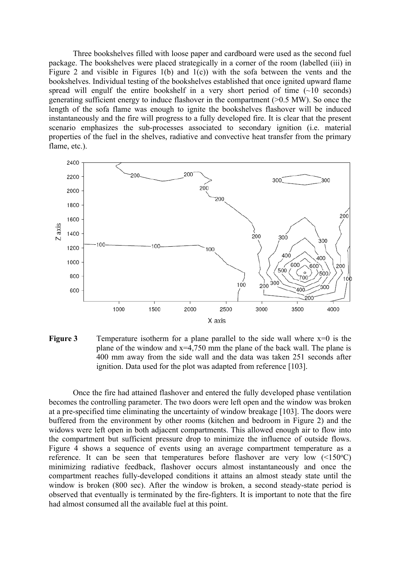Three bookshelves filled with loose paper and cardboard were used as the second fuel package. The bookshelves were placed strategically in a corner of the room (labelled (iii) in Figure 2 and visible in Figures 1(b) and 1(c)) with the sofa between the vents and the bookshelves. Individual testing of the bookshelves established that once ignited upward flame spread will engulf the entire bookshelf in a very short period of time  $(\sim 10$  seconds) generating sufficient energy to induce flashover in the compartment (>0.5 MW). So once the length of the sofa flame was enough to ignite the bookshelves flashover will be induced instantaneously and the fire will progress to a fully developed fire. It is clear that the present scenario emphasizes the sub-processes associated to secondary ignition (i.e. material properties of the fuel in the shelves, radiative and convective heat transfer from the primary flame, etc.).



**Figure 3** Temperature isotherm for a plane parallel to the side wall where  $x=0$  is the plane of the window and  $x=4,750$  mm the plane of the back wall. The plane is 400 mm away from the side wall and the data was taken 251 seconds after ignition. Data used for the plot was adapted from reference [103].

Once the fire had attained flashover and entered the fully developed phase ventilation becomes the controlling parameter. The two doors were left open and the window was broken at a pre-specified time eliminating the uncertainty of window breakage [103]. The doors were buffered from the environment by other rooms (kitchen and bedroom in Figure 2) and the widows were left open in both adjacent compartments. This allowed enough air to flow into the compartment but sufficient pressure drop to minimize the influence of outside flows. Figure 4 shows a sequence of events using an average compartment temperature as a reference. It can be seen that temperatures before flashover are very low  $(\leq 150^{\circ}C)$ minimizing radiative feedback, flashover occurs almost instantaneously and once the compartment reaches fully-developed conditions it attains an almost steady state until the window is broken (800 sec). After the window is broken, a second steady-state period is observed that eventually is terminated by the fire-fighters. It is important to note that the fire had almost consumed all the available fuel at this point.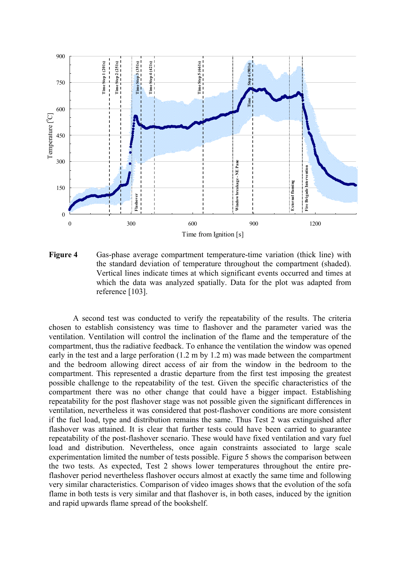

**Figure 4** Gas-phase average compartment temperature-time variation (thick line) with the standard deviation of temperature throughout the compartment (shaded). Vertical lines indicate times at which significant events occurred and times at which the data was analyzed spatially. Data for the plot was adapted from reference [103].

A second test was conducted to verify the repeatability of the results. The criteria chosen to establish consistency was time to flashover and the parameter varied was the ventilation. Ventilation will control the inclination of the flame and the temperature of the compartment, thus the radiative feedback. To enhance the ventilation the window was opened early in the test and a large perforation (1.2 m by 1.2 m) was made between the compartment and the bedroom allowing direct access of air from the window in the bedroom to the compartment. This represented a drastic departure from the first test imposing the greatest possible challenge to the repeatability of the test. Given the specific characteristics of the compartment there was no other change that could have a bigger impact. Establishing repeatability for the post flashover stage was not possible given the significant differences in ventilation, nevertheless it was considered that post-flashover conditions are more consistent if the fuel load, type and distribution remains the same. Thus Test 2 was extinguished after flashover was attained. It is clear that further tests could have been carried to guarantee repeatability of the post-flashover scenario. These would have fixed ventilation and vary fuel load and distribution. Nevertheless, once again constraints associated to large scale experimentation limited the number of tests possible. Figure 5 shows the comparison between the two tests. As expected, Test 2 shows lower temperatures throughout the entire preflashover period nevertheless flashover occurs almost at exactly the same time and following very similar characteristics. Comparison of video images shows that the evolution of the sofa flame in both tests is very similar and that flashover is, in both cases, induced by the ignition and rapid upwards flame spread of the bookshelf.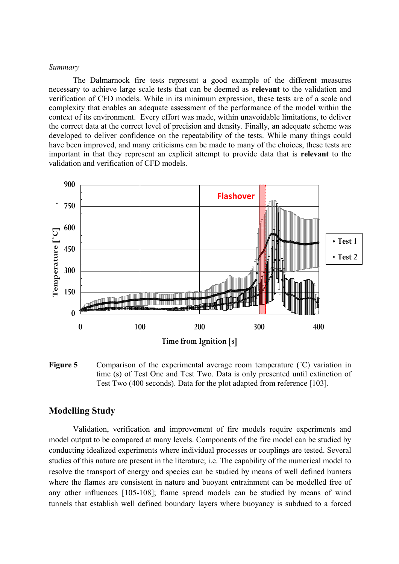#### *Summary*

The Dalmarnock fire tests represent a good example of the different measures necessary to achieve large scale tests that can be deemed as **relevant** to the validation and verification of CFD models. While in its minimum expression, these tests are of a scale and complexity that enables an adequate assessment of the performance of the model within the context of its environment. Every effort was made, within unavoidable limitations, to deliver the correct data at the correct level of precision and density. Finally, an adequate scheme was developed to deliver confidence on the repeatability of the tests. While many things could have been improved, and many criticisms can be made to many of the choices, these tests are important in that they represent an explicit attempt to provide data that is **relevant** to the validation and verification of CFD models.



**Figure 5** Comparison of the experimental average room temperature (°C) variation in time (s) of Test One and Test Two. Data is only presented until extinction of Test Two (400 seconds). Data for the plot adapted from reference [103].

# **Modelling Study**

Validation, verification and improvement of fire models require experiments and model output to be compared at many levels. Components of the fire model can be studied by conducting idealized experiments where individual processes or couplings are tested. Several studies of this nature are present in the literature; i.e. The capability of the numerical model to resolve the transport of energy and species can be studied by means of well defined burners where the flames are consistent in nature and buoyant entrainment can be modelled free of any other influences [105-108]; flame spread models can be studied by means of wind tunnels that establish well defined boundary layers where buoyancy is subdued to a forced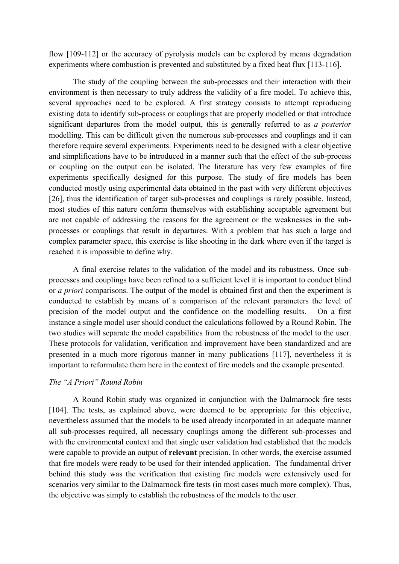flow [109-112] or the accuracy of pyrolysis models can be explored by means degradation experiments where combustion is prevented and substituted by a fixed heat flux [113-116].

The study of the coupling between the sub-processes and their interaction with their environment is then necessary to truly address the validity of a fire model. To achieve this, several approaches need to be explored. A first strategy consists to attempt reproducing existing data to identify sub-process or couplings that are properly modelled or that introduce significant departures from the model output, this is generally referred to as *a posterior* modelling. This can be difficult given the numerous sub-processes and couplings and it can therefore require several experiments. Experiments need to be designed with a clear objective and simplifications have to be introduced in a manner such that the effect of the sub-process or coupling on the output can be isolated. The literature has very few examples of fire experiments specifically designed for this purpose. The study of fire models has been conducted mostly using experimental data obtained in the past with very different objectives [26], thus the identification of target sub-processes and couplings is rarely possible. Instead, most studies of this nature conform themselves with establishing acceptable agreement but are not capable of addressing the reasons for the agreement or the weaknesses in the subprocesses or couplings that result in departures. With a problem that has such a large and complex parameter space, this exercise is like shooting in the dark where even if the target is reached it is impossible to define why.

A final exercise relates to the validation of the model and its robustness. Once subprocesses and couplings have been refined to a sufficient level it is important to conduct blind or *a priori* comparisons. The output of the model is obtained first and then the experiment is conducted to establish by means of a comparison of the relevant parameters the level of precision of the model output and the confidence on the modelling results. On a first instance a single model user should conduct the calculations followed by a Round Robin. The two studies will separate the model capabilities from the robustness of the model to the user. These protocols for validation, verification and improvement have been standardized and are presented in a much more rigorous manner in many publications [117], nevertheless it is important to reformulate them here in the context of fire models and the example presented.

### *The "A Priori" Round Robin*

A Round Robin study was organized in conjunction with the Dalmarnock fire tests [104]. The tests, as explained above, were deemed to be appropriate for this objective, nevertheless assumed that the models to be used already incorporated in an adequate manner all sub-processes required, all necessary couplings among the different sub-processes and with the environmental context and that single user validation had established that the models were capable to provide an output of **relevant** precision. In other words, the exercise assumed that fire models were ready to be used for their intended application. The fundamental driver behind this study was the verification that existing fire models were extensively used for scenarios very similar to the Dalmarnock fire tests (in most cases much more complex). Thus, the objective was simply to establish the robustness of the models to the user.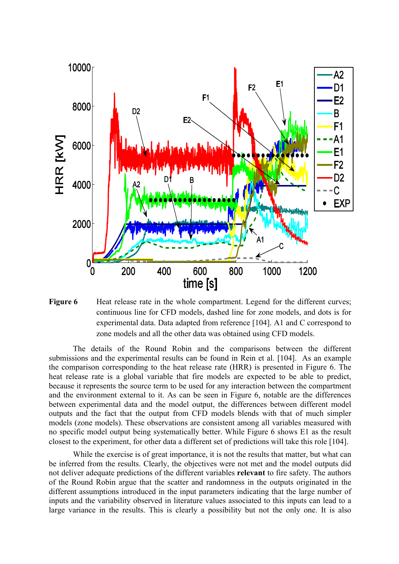

**Figure 6** Heat release rate in the whole compartment. Legend for the different curves; continuous line for CFD models, dashed line for zone models, and dots is for experimental data. Data adapted from reference [104]. A1 and C correspond to zone models and all the other data was obtained using CFD models.

The details of the Round Robin and the comparisons between the different submissions and the experimental results can be found in Rein et al. [104]. As an example the comparison corresponding to the heat release rate (HRR) is presented in Figure 6. The heat release rate is a global variable that fire models are expected to be able to predict, because it represents the source term to be used for any interaction between the compartment and the environment external to it. As can be seen in Figure 6, notable are the differences between experimental data and the model output, the differences between different model outputs and the fact that the output from CFD models blends with that of much simpler models (zone models). These observations are consistent among all variables measured with no specific model output being systematically better. While Figure 6 shows E1 as the result closest to the experiment, for other data a different set of predictions will take this role [104].

While the exercise is of great importance, it is not the results that matter, but what can be inferred from the results. Clearly, the objectives were not met and the model outputs did not deliver adequate predictions of the different variables **relevant** to fire safety. The authors of the Round Robin argue that the scatter and randomness in the outputs originated in the different assumptions introduced in the input parameters indicating that the large number of inputs and the variability observed in literature values associated to this inputs can lead to a large variance in the results. This is clearly a possibility but not the only one. It is also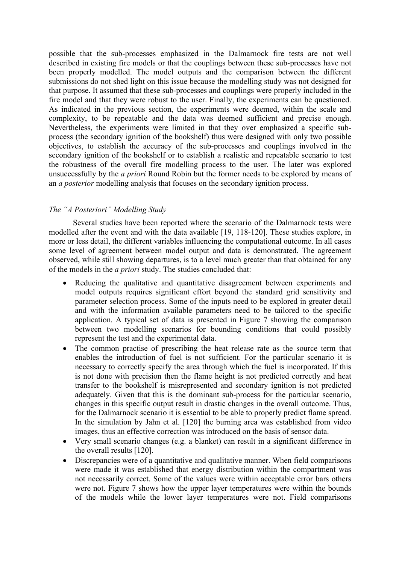possible that the sub-processes emphasized in the Dalmarnock fire tests are not well described in existing fire models or that the couplings between these sub-processes have not been properly modelled. The model outputs and the comparison between the different submissions do not shed light on this issue because the modelling study was not designed for that purpose. It assumed that these sub-processes and couplings were properly included in the fire model and that they were robust to the user. Finally, the experiments can be questioned. As indicated in the previous section, the experiments were deemed, within the scale and complexity, to be repeatable and the data was deemed sufficient and precise enough. Nevertheless, the experiments were limited in that they over emphasized a specific subprocess (the secondary ignition of the bookshelf) thus were designed with only two possible objectives, to establish the accuracy of the sub-processes and couplings involved in the secondary ignition of the bookshelf or to establish a realistic and repeatable scenario to test the robustness of the overall fire modelling process to the user. The later was explored unsuccessfully by the *a priori* Round Robin but the former needs to be explored by means of an *a posterior* modelling analysis that focuses on the secondary ignition process.

# *The "A Posteriori" Modelling Study*

Several studies have been reported where the scenario of the Dalmarnock tests were modelled after the event and with the data available [19, 118-120]. These studies explore, in more or less detail, the different variables influencing the computational outcome. In all cases some level of agreement between model output and data is demonstrated. The agreement observed, while still showing departures, is to a level much greater than that obtained for any of the models in the *a priori* study. The studies concluded that:

- Reducing the qualitative and quantitative disagreement between experiments and model outputs requires significant effort beyond the standard grid sensitivity and parameter selection process. Some of the inputs need to be explored in greater detail and with the information available parameters need to be tailored to the specific application. A typical set of data is presented in Figure 7 showing the comparison between two modelling scenarios for bounding conditions that could possibly represent the test and the experimental data.
- The common practise of prescribing the heat release rate as the source term that enables the introduction of fuel is not sufficient. For the particular scenario it is necessary to correctly specify the area through which the fuel is incorporated. If this is not done with precision then the flame height is not predicted correctly and heat transfer to the bookshelf is misrepresented and secondary ignition is not predicted adequately. Given that this is the dominant sub-process for the particular scenario, changes in this specific output result in drastic changes in the overall outcome. Thus, for the Dalmarnock scenario it is essential to be able to properly predict flame spread. In the simulation by Jahn et al. [120] the burning area was established from video images, thus an effective correction was introduced on the basis of sensor data.
- Very small scenario changes (e.g. a blanket) can result in a significant difference in the overall results [120].
- Discrepancies were of a quantitative and qualitative manner. When field comparisons were made it was established that energy distribution within the compartment was not necessarily correct. Some of the values were within acceptable error bars others were not. Figure 7 shows how the upper layer temperatures were within the bounds of the models while the lower layer temperatures were not. Field comparisons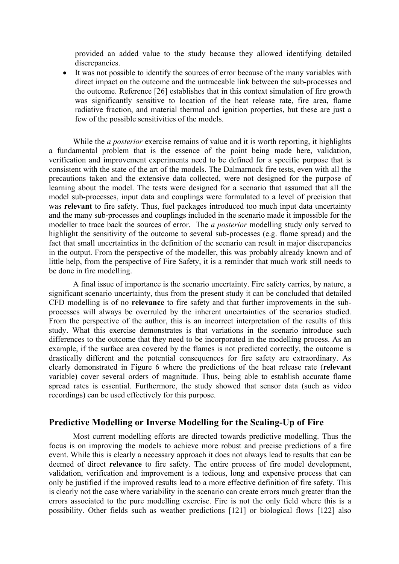provided an added value to the study because they allowed identifying detailed discrepancies.

• It was not possible to identify the sources of error because of the many variables with direct impact on the outcome and the untraceable link between the sub-processes and the outcome. Reference [26] establishes that in this context simulation of fire growth was significantly sensitive to location of the heat release rate, fire area, flame radiative fraction, and material thermal and ignition properties, but these are just a few of the possible sensitivities of the models.

While the *a posterior* exercise remains of value and it is worth reporting, it highlights a fundamental problem that is the essence of the point being made here, validation, verification and improvement experiments need to be defined for a specific purpose that is consistent with the state of the art of the models. The Dalmarnock fire tests, even with all the precautions taken and the extensive data collected, were not designed for the purpose of learning about the model. The tests were designed for a scenario that assumed that all the model sub-processes, input data and couplings were formulated to a level of precision that was **relevant** to fire safety. Thus, fuel packages introduced too much input data uncertainty and the many sub-processes and couplings included in the scenario made it impossible for the modeller to trace back the sources of error. The *a posterior* modelling study only served to highlight the sensitivity of the outcome to several sub-processes (e.g. flame spread) and the fact that small uncertainties in the definition of the scenario can result in major discrepancies in the output. From the perspective of the modeller, this was probably already known and of little help, from the perspective of Fire Safety, it is a reminder that much work still needs to be done in fire modelling.

A final issue of importance is the scenario uncertainty. Fire safety carries, by nature, a significant scenario uncertainty, thus from the present study it can be concluded that detailed CFD modelling is of no **relevance** to fire safety and that further improvements in the subprocesses will always be overruled by the inherent uncertainties of the scenarios studied. From the perspective of the author, this is an incorrect interpretation of the results of this study. What this exercise demonstrates is that variations in the scenario introduce such differences to the outcome that they need to be incorporated in the modelling process. As an example, if the surface area covered by the flames is not predicted correctly, the outcome is drastically different and the potential consequences for fire safety are extraordinary. As clearly demonstrated in Figure 6 where the predictions of the heat release rate (**relevant** variable) cover several orders of magnitude. Thus, being able to establish accurate flame spread rates is essential. Furthermore, the study showed that sensor data (such as video recordings) can be used effectively for this purpose.

# **Predictive Modelling or Inverse Modelling for the Scaling-Up of Fire**

Most current modelling efforts are directed towards predictive modelling. Thus the focus is on improving the models to achieve more robust and precise predictions of a fire event. While this is clearly a necessary approach it does not always lead to results that can be deemed of direct **relevance** to fire safety. The entire process of fire model development, validation, verification and improvement is a tedious, long and expensive process that can only be justified if the improved results lead to a more effective definition of fire safety. This is clearly not the case where variability in the scenario can create errors much greater than the errors associated to the pure modelling exercise. Fire is not the only field where this is a possibility. Other fields such as weather predictions [121] or biological flows [122] also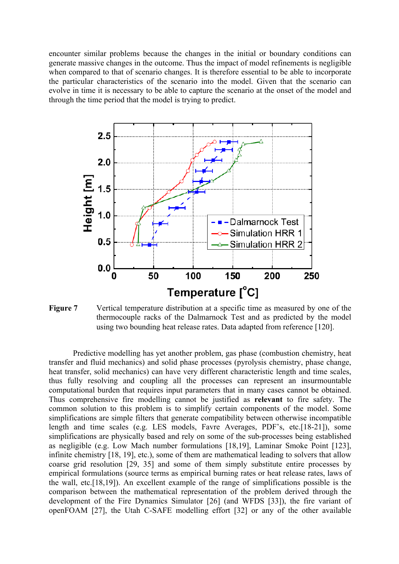encounter similar problems because the changes in the initial or boundary conditions can generate massive changes in the outcome. Thus the impact of model refinements is negligible when compared to that of scenario changes. It is therefore essential to be able to incorporate the particular characteristics of the scenario into the model. Given that the scenario can evolve in time it is necessary to be able to capture the scenario at the onset of the model and through the time period that the model is trying to predict.



**Figure 7** Vertical temperature distribution at a specific time as measured by one of the thermocouple racks of the Dalmarnock Test and as predicted by the model using two bounding heat release rates. Data adapted from reference [120].

Predictive modelling has yet another problem, gas phase (combustion chemistry, heat transfer and fluid mechanics) and solid phase processes (pyrolysis chemistry, phase change, heat transfer, solid mechanics) can have very different characteristic length and time scales, thus fully resolving and coupling all the processes can represent an insurmountable computational burden that requires input parameters that in many cases cannot be obtained. Thus comprehensive fire modelling cannot be justified as **relevant** to fire safety. The common solution to this problem is to simplify certain components of the model. Some simplifications are simple filters that generate compatibility between otherwise incompatible length and time scales (e.g. LES models, Favre Averages, PDF's, etc.[18-21]), some simplifications are physically based and rely on some of the sub-processes being established as negligible (e.g. Low Mach number formulations [18,19], Laminar Smoke Point [123], infinite chemistry [18, 19], etc.), some of them are mathematical leading to solvers that allow coarse grid resolution [29, 35] and some of them simply substitute entire processes by empirical formulations (source terms as empirical burning rates or heat release rates, laws of the wall, etc.[18,19]). An excellent example of the range of simplifications possible is the comparison between the mathematical representation of the problem derived through the development of the Fire Dynamics Simulator [26] (and WFDS [33]), the fire variant of openFOAM [27], the Utah C-SAFE modelling effort [32] or any of the other available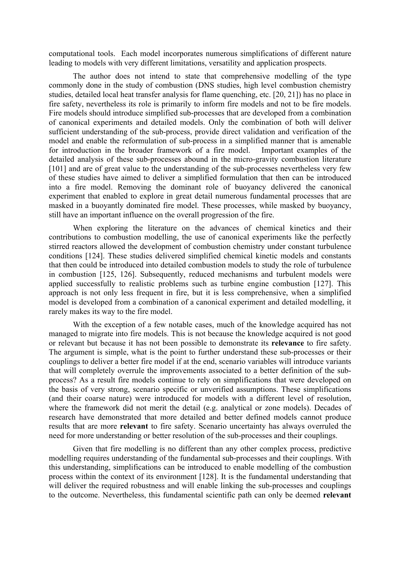computational tools. Each model incorporates numerous simplifications of different nature leading to models with very different limitations, versatility and application prospects.

The author does not intend to state that comprehensive modelling of the type commonly done in the study of combustion (DNS studies, high level combustion chemistry studies, detailed local heat transfer analysis for flame quenching, etc. [20, 21]) has no place in fire safety, nevertheless its role is primarily to inform fire models and not to be fire models. Fire models should introduce simplified sub-processes that are developed from a combination of canonical experiments and detailed models. Only the combination of both will deliver sufficient understanding of the sub-process, provide direct validation and verification of the model and enable the reformulation of sub-process in a simplified manner that is amenable for introduction in the broader framework of a fire model. Important examples of the detailed analysis of these sub-processes abound in the micro-gravity combustion literature [101] and are of great value to the understanding of the sub-processes nevertheless very few of these studies have aimed to deliver a simplified formulation that then can be introduced into a fire model. Removing the dominant role of buoyancy delivered the canonical experiment that enabled to explore in great detail numerous fundamental processes that are masked in a buoyantly dominated fire model. These processes, while masked by buoyancy, still have an important influence on the overall progression of the fire.

When exploring the literature on the advances of chemical kinetics and their contributions to combustion modelling, the use of canonical experiments like the perfectly stirred reactors allowed the development of combustion chemistry under constant turbulence conditions [124]. These studies delivered simplified chemical kinetic models and constants that then could be introduced into detailed combustion models to study the role of turbulence in combustion [125, 126]. Subsequently, reduced mechanisms and turbulent models were applied successfully to realistic problems such as turbine engine combustion [127]. This approach is not only less frequent in fire, but it is less comprehensive, when a simplified model is developed from a combination of a canonical experiment and detailed modelling, it rarely makes its way to the fire model.

With the exception of a few notable cases, much of the knowledge acquired has not managed to migrate into fire models. This is not because the knowledge acquired is not good or relevant but because it has not been possible to demonstrate its **relevance** to fire safety. The argument is simple, what is the point to further understand these sub-processes or their couplings to deliver a better fire model if at the end, scenario variables will introduce variants that will completely overrule the improvements associated to a better definition of the subprocess? As a result fire models continue to rely on simplifications that were developed on the basis of very strong, scenario specific or unverified assumptions. These simplifications (and their coarse nature) were introduced for models with a different level of resolution, where the framework did not merit the detail (e.g. analytical or zone models). Decades of research have demonstrated that more detailed and better defined models cannot produce results that are more **relevant** to fire safety. Scenario uncertainty has always overruled the need for more understanding or better resolution of the sub-processes and their couplings.

Given that fire modelling is no different than any other complex process, predictive modelling requires understanding of the fundamental sub-processes and their couplings. With this understanding, simplifications can be introduced to enable modelling of the combustion process within the context of its environment [128]. It is the fundamental understanding that will deliver the required robustness and will enable linking the sub-processes and couplings to the outcome. Nevertheless, this fundamental scientific path can only be deemed **relevant**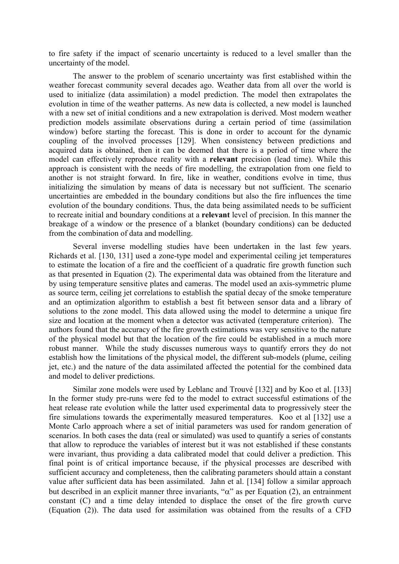to fire safety if the impact of scenario uncertainty is reduced to a level smaller than the uncertainty of the model.

The answer to the problem of scenario uncertainty was first established within the weather forecast community several decades ago. Weather data from all over the world is used to initialize (data assimilation) a model prediction. The model then extrapolates the evolution in time of the weather patterns. As new data is collected, a new model is launched with a new set of initial conditions and a new extrapolation is derived. Most modern weather prediction models assimilate observations during a certain period of time (assimilation window) before starting the forecast. This is done in order to account for the dynamic coupling of the involved processes [129]. When consistency between predictions and acquired data is obtained, then it can be deemed that there is a period of time where the model can effectively reproduce reality with a **relevant** precision (lead time). While this approach is consistent with the needs of fire modelling, the extrapolation from one field to another is not straight forward. In fire, like in weather, conditions evolve in time, thus initializing the simulation by means of data is necessary but not sufficient. The scenario uncertainties are embedded in the boundary conditions but also the fire influences the time evolution of the boundary conditions. Thus, the data being assimilated needs to be sufficient to recreate initial and boundary conditions at a **relevant** level of precision. In this manner the breakage of a window or the presence of a blanket (boundary conditions) can be deducted from the combination of data and modelling.

Several inverse modelling studies have been undertaken in the last few years. Richards et al. [130, 131] used a zone-type model and experimental ceiling jet temperatures to estimate the location of a fire and the coefficient of a quadratic fire growth function such as that presented in Equation (2). The experimental data was obtained from the literature and by using temperature sensitive plates and cameras. The model used an axis-symmetric plume as source term, ceiling jet correlations to establish the spatial decay of the smoke temperature and an optimization algorithm to establish a best fit between sensor data and a library of solutions to the zone model. This data allowed using the model to determine a unique fire size and location at the moment when a detector was activated (temperature criterion). The authors found that the accuracy of the fire growth estimations was very sensitive to the nature of the physical model but that the location of the fire could be established in a much more robust manner. While the study discusses numerous ways to quantify errors they do not establish how the limitations of the physical model, the different sub-models (plume, ceiling jet, etc.) and the nature of the data assimilated affected the potential for the combined data and model to deliver predictions.

Similar zone models were used by Leblanc and Trouvé [132] and by Koo et al. [133] In the former study pre-runs were fed to the model to extract successful estimations of the heat release rate evolution while the latter used experimental data to progressively steer the fire simulations towards the experimentally measured temperatures. Koo et al [132] use a Monte Carlo approach where a set of initial parameters was used for random generation of scenarios. In both cases the data (real or simulated) was used to quantify a series of constants that allow to reproduce the variables of interest but it was not established if these constants were invariant, thus providing a data calibrated model that could deliver a prediction. This final point is of critical importance because, if the physical processes are described with sufficient accuracy and completeness, then the calibrating parameters should attain a constant value after sufficient data has been assimilated. Jahn et al. [134] follow a similar approach but described in an explicit manner three invariants, " $\alpha$ " as per Equation (2), an entrainment constant (C) and a time delay intended to displace the onset of the fire growth curve (Equation (2)). The data used for assimilation was obtained from the results of a CFD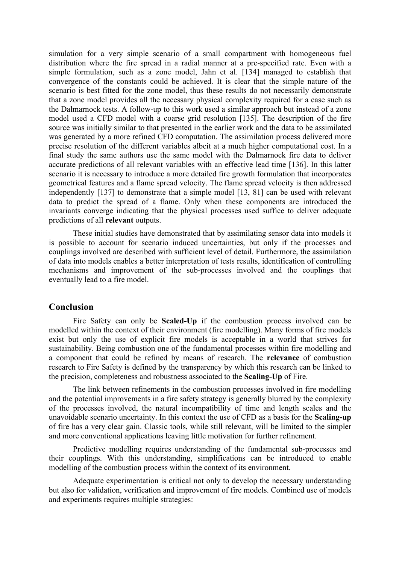simulation for a very simple scenario of a small compartment with homogeneous fuel distribution where the fire spread in a radial manner at a pre-specified rate. Even with a simple formulation, such as a zone model, Jahn et al. [134] managed to establish that convergence of the constants could be achieved. It is clear that the simple nature of the scenario is best fitted for the zone model, thus these results do not necessarily demonstrate that a zone model provides all the necessary physical complexity required for a case such as the Dalmarnock tests. A follow-up to this work used a similar approach but instead of a zone model used a CFD model with a coarse grid resolution [135]. The description of the fire source was initially similar to that presented in the earlier work and the data to be assimilated was generated by a more refined CFD computation. The assimilation process delivered more precise resolution of the different variables albeit at a much higher computational cost. In a final study the same authors use the same model with the Dalmarnock fire data to deliver accurate predictions of all relevant variables with an effective lead time [136]. In this latter scenario it is necessary to introduce a more detailed fire growth formulation that incorporates geometrical features and a flame spread velocity. The flame spread velocity is then addressed independently [137] to demonstrate that a simple model [13, 81] can be used with relevant data to predict the spread of a flame. Only when these components are introduced the invariants converge indicating that the physical processes used suffice to deliver adequate predictions of all **relevant** outputs.

These initial studies have demonstrated that by assimilating sensor data into models it is possible to account for scenario induced uncertainties, but only if the processes and couplings involved are described with sufficient level of detail. Furthermore, the assimilation of data into models enables a better interpretation of tests results, identification of controlling mechanisms and improvement of the sub-processes involved and the couplings that eventually lead to a fire model.

# **Conclusion**

Fire Safety can only be **Scaled-Up** if the combustion process involved can be modelled within the context of their environment (fire modelling). Many forms of fire models exist but only the use of explicit fire models is acceptable in a world that strives for sustainability. Being combustion one of the fundamental processes within fire modelling and a component that could be refined by means of research. The **relevance** of combustion research to Fire Safety is defined by the transparency by which this research can be linked to the precision, completeness and robustness associated to the **Scaling-Up** of Fire.

The link between refinements in the combustion processes involved in fire modelling and the potential improvements in a fire safety strategy is generally blurred by the complexity of the processes involved, the natural incompatibility of time and length scales and the unavoidable scenario uncertainty. In this context the use of CFD as a basis for the **Scaling-up** of fire has a very clear gain. Classic tools, while still relevant, will be limited to the simpler and more conventional applications leaving little motivation for further refinement.

Predictive modelling requires understanding of the fundamental sub-processes and their couplings. With this understanding, simplifications can be introduced to enable modelling of the combustion process within the context of its environment.

Adequate experimentation is critical not only to develop the necessary understanding but also for validation, verification and improvement of fire models. Combined use of models and experiments requires multiple strategies: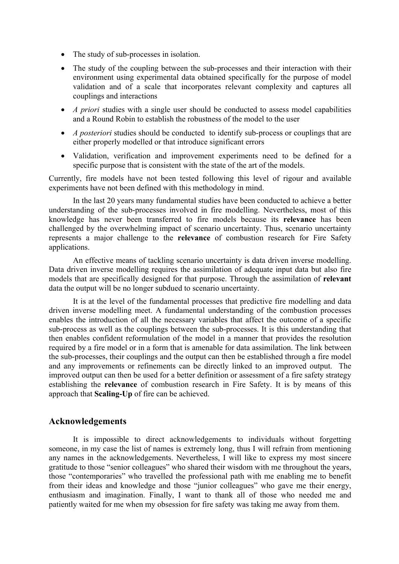- The study of sub-processes in isolation.
- The study of the coupling between the sub-processes and their interaction with their environment using experimental data obtained specifically for the purpose of model validation and of a scale that incorporates relevant complexity and captures all couplings and interactions
- *A priori* studies with a single user should be conducted to assess model capabilities and a Round Robin to establish the robustness of the model to the user
- *A posteriori* studies should be conducted to identify sub-process or couplings that are either properly modelled or that introduce significant errors
- Validation, verification and improvement experiments need to be defined for a specific purpose that is consistent with the state of the art of the models.

Currently, fire models have not been tested following this level of rigour and available experiments have not been defined with this methodology in mind.

In the last 20 years many fundamental studies have been conducted to achieve a better understanding of the sub-processes involved in fire modelling. Nevertheless, most of this knowledge has never been transferred to fire models because its **relevance** has been challenged by the overwhelming impact of scenario uncertainty. Thus, scenario uncertainty represents a major challenge to the **relevance** of combustion research for Fire Safety applications.

An effective means of tackling scenario uncertainty is data driven inverse modelling. Data driven inverse modelling requires the assimilation of adequate input data but also fire models that are specifically designed for that purpose. Through the assimilation of **relevant**  data the output will be no longer subdued to scenario uncertainty.

It is at the level of the fundamental processes that predictive fire modelling and data driven inverse modelling meet. A fundamental understanding of the combustion processes enables the introduction of all the necessary variables that affect the outcome of a specific sub-process as well as the couplings between the sub-processes. It is this understanding that then enables confident reformulation of the model in a manner that provides the resolution required by a fire model or in a form that is amenable for data assimilation. The link between the sub-processes, their couplings and the output can then be established through a fire model and any improvements or refinements can be directly linked to an improved output. The improved output can then be used for a better definition or assessment of a fire safety strategy establishing the **relevance** of combustion research in Fire Safety. It is by means of this approach that **Scaling-Up** of fire can be achieved.

# **Acknowledgements**

It is impossible to direct acknowledgements to individuals without forgetting someone, in my case the list of names is extremely long, thus I will refrain from mentioning any names in the acknowledgements. Nevertheless, I will like to express my most sincere gratitude to those "senior colleagues" who shared their wisdom with me throughout the years, those "contemporaries" who travelled the professional path with me enabling me to benefit from their ideas and knowledge and those "junior colleagues" who gave me their energy, enthusiasm and imagination. Finally, I want to thank all of those who needed me and patiently waited for me when my obsession for fire safety was taking me away from them.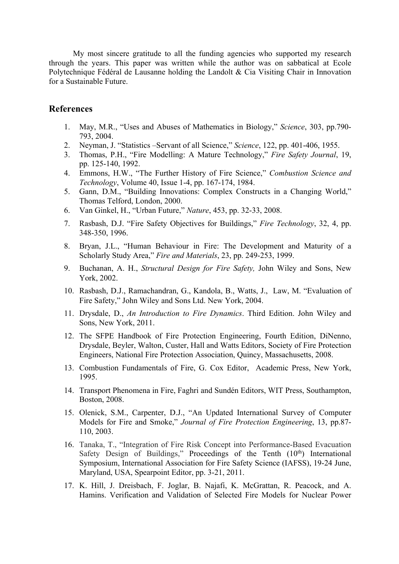My most sincere gratitude to all the funding agencies who supported my research through the years. This paper was written while the author was on sabbatical at Ecole Polytechnique Fédéral de Lausanne holding the Landolt & Cia Visiting Chair in Innovation for a Sustainable Future.

# **References**

- 1. May, M.R., "Uses and Abuses of Mathematics in Biology," *Science*, 303, pp.790- 793, 2004.
- 2. Neyman, J. "Statistics –Servant of all Science," *Science*, 122, pp. 401-406, 1955.
- 3. Thomas, P.H., "Fire Modelling: A Mature Technology," *Fire Safety Journal*, 19, pp. 125-140, 1992.
- 4. Emmons, H.W., "The Further History of Fire Science," *Combustion Science and Technology*, Volume 40, Issue 1-4, pp. 167-174, 1984.
- 5. Gann, D.M., "Building Innovations: Complex Constructs in a Changing World," Thomas Telford, London, 2000.
- 6. Van Ginkel, H., "Urban Future," *Nature*, 453, pp. 32-33, 2008.
- 7. Rasbash, D.J. "Fire Safety Objectives for Buildings," *Fire Technology*, 32, 4, pp. 348-350, 1996.
- 8. Bryan, J.L., "Human Behaviour in Fire: The Development and Maturity of a Scholarly Study Area," *Fire and Materials*, 23, pp. 249-253, 1999.
- 9. Buchanan, A. H., *Structural Design for Fire Safety,* John Wiley and Sons, New York, 2002.
- 10. Rasbash, D.J., Ramachandran, G., Kandola, B., Watts, J., Law, M. "Evaluation of Fire Safety," John Wiley and Sons Ltd. New York, 2004.
- 11. Drysdale, D., *An Introduction to Fire Dynamics*. Third Edition. John Wiley and Sons, New York, 2011.
- 12. The SFPE Handbook of Fire Protection Engineering, Fourth Edition, DiNenno, Drysdale, Beyler, Walton, Custer, Hall and Watts Editors, Society of Fire Protection Engineers, National Fire Protection Association, Quincy, Massachusetts, 2008.
- 13. Combustion Fundamentals of Fire, G. Cox Editor, Academic Press, New York, 1995.
- 14. Transport Phenomena in Fire, Faghri and Sundén Editors, WIT Press, Southampton, Boston, 2008.
- 15. Olenick, S.M., Carpenter, D.J., "An Updated International Survey of Computer Models for Fire and Smoke," *Journal of Fire Protection Engineering*, 13, pp.87- 110, 2003.
- 16. Tanaka, T., "Integration of Fire Risk Concept into Performance-Based Evacuation Safety Design of Buildings," Proceedings of the Tenth (10<sup>th</sup>) International Symposium, International Association for Fire Safety Science (IAFSS), 19-24 June, Maryland, USA, Spearpoint Editor, pp. 3-21, 2011.
- 17. K. Hill, J. Dreisbach, F. Joglar, B. Najafi, K. McGrattan, R. Peacock, and A. Hamins. Verification and Validation of Selected Fire Models for Nuclear Power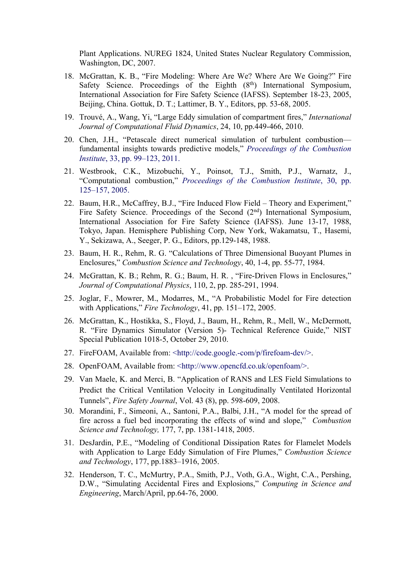Plant Applications. NUREG 1824, United States Nuclear Regulatory Commission, Washington, DC, 2007.

- 18. McGrattan, K. B., "Fire Modeling: Where Are We? Where Are We Going?" Fire Safety Science. Proceedings of the Eighth (8<sup>th</sup>) International Symposium, International Association for Fire Safety Science (IAFSS). September 18-23, 2005, Beijing, China. Gottuk, D. T.; Lattimer, B. Y., Editors, pp. 53-68, 2005.
- 19. Trouvé, A., Wang, Yi, "Large Eddy simulation of compartment fires," *International Journal of Computational Fluid Dynamics*, 24, 10, pp.449-466, 2010.
- 20. Chen, J.H., "Petascale direct numerical simulation of turbulent combustion fundamental insights towards predictive models," *Proceedings of the Combustion Institute*, 33, pp. 99–123, 2011.
- 21. Westbrook, C.K., Mizobuchi, Y., Poinsot, T.J., Smith, P.J., Warnatz, J., "Computational combustion," *Proceedings of the Combustion Institute*, 30, pp. 125–157, 2005.
- 22. Baum, H.R., McCaffrey, B.J., "Fire Induced Flow Field Theory and Experiment," Fire Safety Science. Proceedings of the Second (2<sup>nd</sup>) International Symposium, International Association for Fire Safety Science (IAFSS). June 13-17, 1988, Tokyo, Japan. Hemisphere Publishing Corp, New York, Wakamatsu, T., Hasemi, Y., Sekizawa, A., Seeger, P. G., Editors, pp.129-148, 1988.
- 23. Baum, H. R., Rehm, R. G. "Calculations of Three Dimensional Buoyant Plumes in Enclosures," *Combustion Science and Technology*, 40, 1-4, pp. 55-77, 1984.
- 24. McGrattan, K. B.; Rehm, R. G.; Baum, H. R. , "Fire-Driven Flows in Enclosures," *Journal of Computational Physics*, 110, 2, pp. 285-291, 1994.
- 25. Joglar, F., Mowrer, M., Modarres, M., "A Probabilistic Model for Fire detection with Applications," *Fire Technology*, 41, pp. 151–172, 2005.
- 26. McGrattan, K., Hostikka, S., Floyd, J., Baum, H., Rehm, R., Mell, W., McDermott, R. "Fire Dynamics Simulator (Version 5)- Technical Reference Guide," NIST Special Publication 1018-5, October 29, 2010.
- 27. FireFOAM, Available from: <http://code.google.-com/p/firefoam-dev/>.
- 28. OpenFOAM, Available from: <http://www.opencfd.co.uk/openfoam/>.
- 29. Van Maele, K. and Merci, B. "Application of RANS and LES Field Simulations to Predict the Critical Ventilation Velocity in Longitudinally Ventilated Horizontal Tunnels", *Fire Safety Journal*, Vol. 43 (8), pp. 598-609, 2008.
- 30. Morandini, F., Simeoni, A., Santoni, P.A., Balbi, J.H., "A model for the spread of fire across a fuel bed incorporating the effects of wind and slope," *Combustion Science and Technology,* 177, 7, pp. 1381-1418, 2005.
- 31. DesJardin, P.E., "Modeling of Conditional Dissipation Rates for Flamelet Models with Application to Large Eddy Simulation of Fire Plumes," *Combustion Science and Technology*, 177, pp.1883–1916, 2005.
- 32. Henderson, T. C., McMurtry, P.A., Smith, P.J., Voth, G.A., Wight, C.A., Pershing, D.W., "Simulating Accidental Fires and Explosions," *Computing in Science and Engineering*, March/April, pp.64-76, 2000.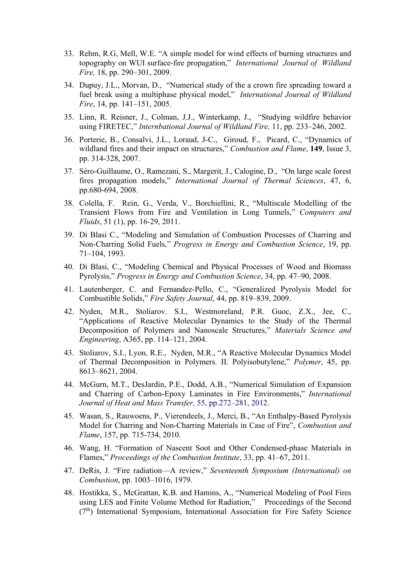- 33. Rehm, R.G, Mell, W.E. "A simple model for wind effects of burning structures and topography on WUI surface-fire propagation," *International Journal of Wildland Fire,* 18, pp. 290–301, 2009.
- 34. Dupuy, J.L., Morvan, D., "Numerical study of the a crown fire spreading toward a fuel break using a multiphase physical model," *International Journal of Wildland Fire*, 14, pp. 141–151, 2005.
- 35. Linn, R. Reisner, J., Colman, J.J., Winterkamp, J., "Studying wildfire behavior using FIRETEC," *Internbational Journal of Wildland Fire,* 11, pp. 233–246, 2002.
- 36. Porterie, B., Consalvi, J.L., Loraud, J-C., Giroud, F., Picard, C., "Dynamics of wildland fires and their impact on structures," *Combustion and Flame*, **149**, Issue 3, pp. 314-328, 2007.
- 37. Séro-Guillaume, O., Ramezani, S., Margerit, J., Calogine, D., "On large scale forest fires propagation models," *International Journal of Thermal Sciences*, 47, 6, pp.680-694, 2008.
- 38. Colella, F. Rein, G., Verda, V., Borchiellini, R., "Multiscale Modelling of the Transient Flows from Fire and Ventilation in Long Tunnels," *Computers and Fluids*, 51 (1), pp. 16-29, 2011.
- 39. Di Blasi C., "Modeling and Simulation of Combustion Processes of Charring and Non-Charring Solid Fuels," *Progress in Energy and Combustion Science*, 19, pp. 71–104, 1993.
- 40. Di Blasi, C., "Modeling Chemical and Physical Processes of Wood and Biomass Pyrolysis," *Progress in Energy and Combustion Science*, 34, pp. 47–90, 2008.
- 41. Lautenberger, C. and Fernandez-Pello, C., "Generalized Pyrolysis Model for Combustible Solids," *Fire Safety Journal*, 44, pp. 819–839, 2009.
- 42. Nyden, M.R., Stoliarov. S.I., Westmoreland, P.R. Guoc, Z.X., Jee, C., "Applications of Reactive Molecular Dynamics to the Study of the Thermal Decomposition of Polymers and Nanoscale Structures," *Materials Science and Engineering*, A365, pp. 114–121, 2004.
- 43. Stoliarov, S.I., Lyon, R.E., Nyden, M.R., "A Reactive Molecular Dynamics Model of Thermal Decomposition in Polymers. II. Polyisobutylene," *Polymer*, 45, pp. 8613–8621, 2004.
- 44. McGurn, M.T., DesJardin, P.E., Dodd, A.B., "Numerical Simulation of Expansion and Charring of Carbon-Epoxy Laminates in Fire Environments," *International Journal of Heat and Mass Transfer,* 55, pp.272–281, 2012.
- 45. Wasan, S., Rauwoens, P., Vierendeels, J., Merci, B., "An Enthalpy-Based Pyrolysis Model for Charring and Non-Charring Materials in Case of Fire", *Combustion and Flame*, 157, pp. 715-734, 2010.
- 46. Wang, H. "Formation of Nascent Soot and Other Condensed-phase Materials in Flames," *Proceedings of the Combustion Institute*, 33, pp. 41–67, 2011.
- 47. DeRis, J. "Fire radiation—A review," *Seventeenth Symposium (International) on Combustion*, pp. 1003–1016, 1979.
- 48. Hostikka, S., McGrattan, K.B. and Hamins, A., "Numerical Modeling of Pool Fires using LES and Finite Volume Method for Radiation," Proceedings of the Second (7th) International Symposium, International Association for Fire Safety Science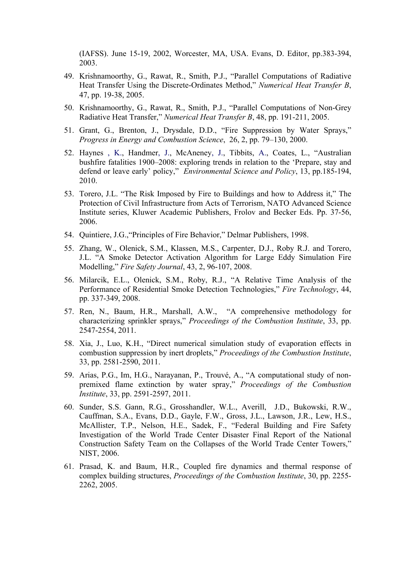(IAFSS). June 15-19, 2002, Worcester, MA, USA. Evans, D. Editor, pp.383-394, 2003.

- 49. Krishnamoorthy, G., Rawat, R., Smith, P.J., "Parallel Computations of Radiative Heat Transfer Using the Discrete-Ordinates Method," *Numerical Heat Transfer B*, 47, pp. 19-38, 2005.
- 50. Krishnamoorthy, G., Rawat, R., Smith, P.J., "Parallel Computations of Non-Grey Radiative Heat Transfer," *Numerical Heat Transfer B*, 48, pp. 191-211, 2005.
- 51. Grant, G., Brenton, J., Drysdale, D.D., "Fire Suppression by Water Sprays," *Progress in Energy and Combustion Science*, 26, 2, pp. 79–130, 2000.
- 52. Haynes , K., Handmer, J., McAneney, J., Tibbits, A., Coates, L., "Australian bushfire fatalities 1900–2008: exploring trends in relation to the 'Prepare, stay and defend or leave early' policy," *Environmental Science and Policy*, 13, pp.185-194, 2010.
- 53. Torero, J.L. "The Risk Imposed by Fire to Buildings and how to Address it," The Protection of Civil Infrastructure from Acts of Terrorism, NATO Advanced Science Institute series, Kluwer Academic Publishers, Frolov and Becker Eds. Pp. 37-56, 2006.
- 54. Quintiere, J.G.,"Principles of Fire Behavior," Delmar Publishers, 1998.
- 55. Zhang, W., Olenick, S.M., Klassen, M.S., Carpenter, D.J., Roby R.J. and Torero, J.L. "A Smoke Detector Activation Algorithm for Large Eddy Simulation Fire Modelling," *Fire Safety Journal*, 43, 2, 96-107, 2008.
- 56. Milarcik, E.L., Olenick, S.M., Roby, R.J., "A Relative Time Analysis of the Performance of Residential Smoke Detection Technologies," *Fire Technology*, 44, pp. 337-349, 2008.
- 57. Ren, N., Baum, H.R., Marshall, A.W., "A comprehensive methodology for characterizing sprinkler sprays," *Proceedings of the Combustion Institute*, 33, pp. 2547-2554, 2011.
- 58. Xia, J., Luo, K.H., "Direct numerical simulation study of evaporation effects in combustion suppression by inert droplets," *Proceedings of the Combustion Institute*, 33, pp. 2581-2590, 2011.
- 59. Arias, P.G., Im, H.G., Narayanan, P., Trouvé, A., "A computational study of nonpremixed flame extinction by water spray," *Proceedings of the Combustion Institute*, 33, pp. 2591-2597, 2011.
- 60. Sunder, S.S. Gann, R.G., Grosshandler, W.L., Averill, J.D., Bukowski, R.W., Cauffman, S.A., Evans, D.D., Gayle, F.W., Gross, J.L., Lawson, J.R., Lew, H.S., McAllister, T.P., Nelson, H.E., Sadek, F., "Federal Building and Fire Safety Investigation of the World Trade Center Disaster Final Report of the National Construction Safety Team on the Collapses of the World Trade Center Towers," NIST, 2006.
- 61. Prasad, K. and Baum, H.R., Coupled fire dynamics and thermal response of complex building structures, *Proceedings of the Combustion Institute*, 30, pp. 2255- 2262, 2005.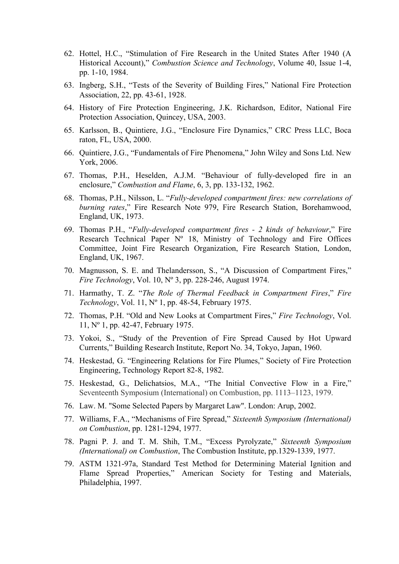- 62. Hottel, H.C., "Stimulation of Fire Research in the United States After 1940 (A Historical Account)," *Combustion Science and Technology*, Volume 40, Issue 1-4, pp. 1-10, 1984.
- 63. Ingberg, S.H., "Tests of the Severity of Building Fires," National Fire Protection Association, 22, pp. 43-61, 1928.
- 64. History of Fire Protection Engineering, J.K. Richardson, Editor, National Fire Protection Association, Quincey, USA, 2003.
- 65. Karlsson, B., Quintiere, J.G., "Enclosure Fire Dynamics," CRC Press LLC, Boca raton, FL, USA, 2000.
- 66. Quintiere, J.G., "Fundamentals of Fire Phenomena," John Wiley and Sons Ltd. New York, 2006.
- 67. Thomas, P.H., Heselden, A.J.M. "Behaviour of fully-developed fire in an enclosure," *Combustion and Flame*, 6, 3, pp. 133-132, 1962.
- 68. Thomas, P.H., Nilsson, L. "*Fully-developed compartment fires: new correlations of burning rates*," Fire Research Note 979, Fire Research Station, Borehamwood, England, UK, 1973.
- 69. Thomas P.H., "*Fully-developed compartment fires - 2 kinds of behaviour*," Fire Research Technical Paper Nº 18, Ministry of Technology and Fire Offices Committee, Joint Fire Research Organization, Fire Research Station, London, England, UK, 1967.
- 70. Magnusson, S. E. and Thelandersson, S., "A Discussion of Compartment Fires," *Fire Technology*, Vol. 10, Nº 3, pp. 228-246, August 1974.
- 71. Harmathy, T. Z. "*The Role of Thermal Feedback in Compartment Fires*," *Fire Technology*, Vol. 11, Nº 1, pp. 48-54, February 1975.
- 72. Thomas, P.H. "Old and New Looks at Compartment Fires," *Fire Technology*, Vol. 11, Nº 1, pp. 42-47, February 1975.
- 73. Yokoi, S., "Study of the Prevention of Fire Spread Caused by Hot Upward Currents," Building Research Institute, Report No. 34, Tokyo, Japan, 1960.
- 74. Heskestad, G. "Engineering Relations for Fire Plumes," Society of Fire Protection Engineering, Technology Report 82-8, 1982.
- 75. Heskestad, G., Delichatsios, M.A., "The Initial Convective Flow in a Fire," Seventeenth Symposium (International) on Combustion, pp. 1113–1123, 1979.
- 76. Law. M. "Some Selected Papers by Margaret Law". London: Arup, 2002.
- 77. Williams, F.A., "Mechanisms of Fire Spread," *Sixteenth Symposium (International) on Combustion*, pp. 1281-1294, 1977.
- 78. Pagni P. J. and T. M. Shih, T.M., "Excess Pyrolyzate," *Sixteenth Symposium (International) on Combustion*, The Combustion Institute, pp.1329-1339, 1977.
- 79. ASTM 1321-97a, Standard Test Method for Determining Material Ignition and Flame Spread Properties," American Society for Testing and Materials, Philadelphia, 1997.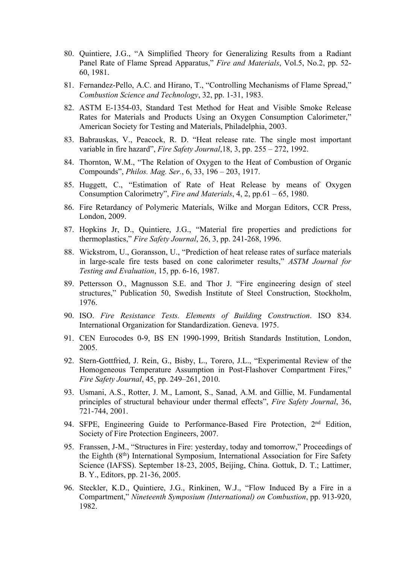- 80. Quintiere, J.G., "A Simplified Theory for Generalizing Results from a Radiant Panel Rate of Flame Spread Apparatus," *Fire and Materials*, Vol.5, No.2, pp. 52- 60, 1981.
- 81. Fernandez-Pello, A.C. and Hirano, T., "Controlling Mechanisms of Flame Spread," *Combustion Science and Technology*, 32, pp. 1-31, 1983.
- 82. ASTM E-1354-03, Standard Test Method for Heat and Visible Smoke Release Rates for Materials and Products Using an Oxygen Consumption Calorimeter," American Society for Testing and Materials, Philadelphia, 2003.
- 83. Babrauskas, V., Peacock, R. D. "Heat release rate. The single most important variable in fire hazard", *Fire Safety Journal*,18, 3, pp. 255 – 272, 1992.
- 84. Thornton, W.M., "The Relation of Oxygen to the Heat of Combustion of Organic Compounds", *Philos. Mag. Ser.*, 6, 33, 196 – 203, 1917.
- 85. Huggett, C., "Estimation of Rate of Heat Release by means of Oxygen Consumption Calorimetry", *Fire and Materials*, 4, 2, pp.61 – 65, 1980.
- 86. Fire Retardancy of Polymeric Materials, Wilke and Morgan Editors, CCR Press, London, 2009.
- 87. Hopkins Jr, D., Quintiere, J.G., "Material fire properties and predictions for thermoplastics," *Fire Safety Journal*, 26, 3, pp. 241-268, 1996.
- 88. Wickstrom, U., Goransson, U., "Prediction of heat release rates of surface materials in large-scale fire tests based on cone calorimeter results," *ASTM Journal for Testing and Evaluation*, 15, pp. 6-16, 1987.
- 89. Pettersson O., Magnusson S.E. and Thor J. "Fire engineering design of steel structures," Publication 50, Swedish Institute of Steel Construction, Stockholm, 1976.
- 90. ISO. *Fire Resistance Tests. Elements of Building Construction*. ISO 834. International Organization for Standardization. Geneva. 1975.
- 91. CEN Eurocodes 0-9, BS EN 1990-1999, British Standards Institution, London, 2005.
- 92. Stern-Gottfried, J. Rein, G., Bisby, L., Torero, J.L., "Experimental Review of the Homogeneous Temperature Assumption in Post-Flashover Compartment Fires," *Fire Safety Journal*, 45, pp. 249–261, 2010.
- 93. Usmani, A.S., Rotter, J. M., Lamont, S., Sanad, A.M. and Gillie, M. Fundamental principles of structural behaviour under thermal effects", *Fire Safety Journal*, 36, 721-744, 2001.
- 94. SFPE, Engineering Guide to Performance-Based Fire Protection, 2nd Edition, Society of Fire Protection Engineers, 2007.
- 95. Franssen, J-M., "Structures in Fire: yesterday, today and tomorrow," Proceedings of the Eighth (8th) International Symposium, International Association for Fire Safety Science (IAFSS). September 18-23, 2005, Beijing, China. Gottuk, D. T.; Lattimer, B. Y., Editors, pp. 21-36, 2005.
- 96. Steckler, K.D., Quintiere, J.G., Rinkinen, W.J., "Flow Induced By a Fire in a Compartment," *Nineteenth Symposium (International) on Combustion*, pp. 913-920, 1982.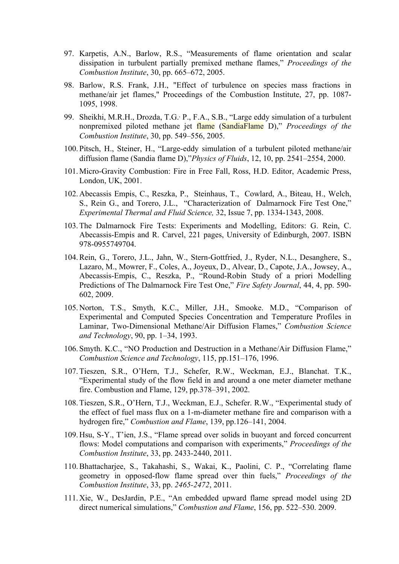- 97. Karpetis, A.N., Barlow, R.S., "Measurements of flame orientation and scalar dissipation in turbulent partially premixed methane flames," *Proceedings of the Combustion Institute*, 30, pp. 665–672, 2005.
- 98. Barlow, R.S. Frank, J.H., "Effect of turbulence on species mass fractions in methane/air jet flames," Proceedings of the Combustion Institute, 27, pp. 1087- 1095, 1998.
- 99. Sheikhi, M.R.H., Drozda, T.G.<sup>,</sup> P., F.A., S.B., "Large eddy simulation of a turbulent nonpremixed piloted methane jet flame (SandiaFlame D)," *Proceedings of the Combustion Institute*, 30, pp. 549–556, 2005.
- 100. Pitsch, H., Steiner, H., "Large-eddy simulation of a turbulent piloted methane/air diffusion flame (Sandia flame D),"*Physics of Fluids*, 12, 10, pp. 2541–2554, 2000.
- 101.Micro-Gravity Combustion: Fire in Free Fall, Ross, H.D. Editor, Academic Press, London, UK, 2001.
- 102.Abecassis Empis, C., Reszka, P., Steinhaus, T., Cowlard, A., Biteau, H., Welch, S., Rein G., and Torero, J.L., "Characterization of Dalmarnock Fire Test One," *Experimental Thermal and Fluid Science,* 32, Issue 7, pp. 1334-1343, 2008.
- 103.The Dalmarnock Fire Tests: Experiments and Modelling, Editors: G. Rein, C. Abecassis-Empis and R. Carvel, 221 pages, University of Edinburgh, 2007. ISBN 978-0955749704.
- 104.Rein, G., Torero, J.L., Jahn, W., Stern-Gottfried, J., Ryder, N.L., Desanghere, S., Lazaro, M., Mowrer, F., Coles, A., Joyeux, D., Alvear, D., Capote, J.A., Jowsey, A., Abecassis-Empis, C., Reszka, P., "Round-Robin Study of a priori Modelling Predictions of The Dalmarnock Fire Test One," *Fire Safety Journal*, 44, 4, pp. 590- 602, 2009.
- 105.Norton, T.S., Smyth, K.C., Miller, J.H., Smooke. M.D., "Comparison of Experimental and Computed Species Concentration and Temperature Profiles in Laminar, Two-Dimensional Methane/Air Diffusion Flames," *Combustion Science and Technology*, 90, pp. 1–34, 1993.
- 106. Smyth. K.C., "NO Production and Destruction in a Methane/Air Diffusion Flame," *Combustion Science and Technology*, 115, pp.151–176, 1996.
- 107.Tieszen, S.R., O'Hern, T.J., Schefer, R.W., Weckman, E.J., Blanchat. T.K., "Experimental study of the flow field in and around a one meter diameter methane fire. Combustion and Flame, 129, pp.378–391, 2002.
- 108.Tieszen, S.R., O'Hern, T.J., Weckman, E.J., Schefer. R.W., "Experimental study of the effect of fuel mass flux on a 1-m-diameter methane fire and comparison with a hydrogen fire," *Combustion and Flame*, 139, pp.126–141, 2004.
- 109.Hsu, S-Y., T'ien, J.S., "Flame spread over solids in buoyant and forced concurrent flows: Model computations and comparison with experiments," *Proceedings of the Combustion Institute*, 33, pp. 2433-2440, 2011.
- 110.Bhattacharjee, S., Takahashi, S., Wakai, K., Paolini, C. P., "Correlating flame geometry in opposed-flow flame spread over thin fuels," *Proceedings of the Combustion Institute*, 33, pp. *2465-2472*, 2011.
- 111.Xie, W., DesJardin, P.E., "An embedded upward flame spread model using 2D direct numerical simulations," *Combustion and Flame*, 156, pp. 522–530. 2009.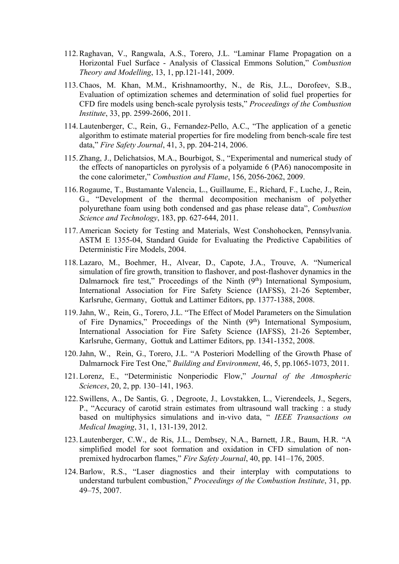- 112.Raghavan, V., Rangwala, A.S., Torero, J.L. "Laminar Flame Propagation on a Horizontal Fuel Surface - Analysis of Classical Emmons Solution," *Combustion Theory and Modelling*, 13, 1, pp.121-141, 2009.
- 113.Chaos, M. Khan, M.M., Krishnamoorthy, N., de Ris, J.L., Dorofeev, S.B., Evaluation of optimization schemes and determination of solid fuel properties for CFD fire models using bench-scale pyrolysis tests," *Proceedings of the Combustion Institute*, 33, pp. 2599-2606, 2011.
- 114.Lautenberger, C., Rein, G., Fernandez-Pello, A.C., "The application of a genetic algorithm to estimate material properties for fire modeling from bench-scale fire test data," *Fire Safety Journal*, 41, 3, pp. 204-214, 2006.
- 115.Zhang, J., Delichatsios, M.A., Bourbigot, S., "Experimental and numerical study of the effects of nanoparticles on pyrolysis of a polyamide 6 (PA6) nanocomposite in the cone calorimeter," *Combustion and Flame*, 156, 2056-2062, 2009.
- 116.Rogaume, T., Bustamante Valencia, L., Guillaume, E., Richard, F., Luche, J., Rein, G., "Development of the thermal decomposition mechanism of polyether polyurethane foam using both condensed and gas phase release data", *Combustion Science and Technology*, 183, pp. 627-644, 2011.
- 117.American Society for Testing and Materials, West Conshohocken, Pennsylvania. ASTM E 1355-04, Standard Guide for Evaluating the Predictive Capabilities of Deterministic Fire Models, 2004.
- 118.Lazaro, M., Boehmer, H., Alvear, D., Capote, J.A., Trouve, A. "Numerical simulation of fire growth, transition to flashover, and post-flashover dynamics in the Dalmarnock fire test," Proceedings of the Ninth  $(9<sup>th</sup>)$  International Symposium, International Association for Fire Safety Science (IAFSS), 21-26 September, Karlsruhe, Germany, Gottuk and Lattimer Editors, pp. 1377-1388, 2008.
- 119.Jahn, W., Rein, G., Torero, J.L. "The Effect of Model Parameters on the Simulation of Fire Dynamics," Proceedings of the Ninth  $(9<sup>th</sup>)$  International Symposium, International Association for Fire Safety Science (IAFSS), 21-26 September, Karlsruhe, Germany, Gottuk and Lattimer Editors, pp. 1341-1352, 2008.
- 120.Jahn, W., Rein, G., Torero, J.L. "A Posteriori Modelling of the Growth Phase of Dalmarnock Fire Test One," *Building and Environment*, 46, 5, pp.1065-1073, 2011.
- 121.Lorenz, E., "Deterministic Nonperiodic Flow," *Journal of the Atmospheric Sciences*, 20, 2, pp. 130–141, 1963.
- 122. Swillens, A., De Santis, G. , Degroote, J.*,* Lovstakken, L., Vierendeels, J., Segers, P., "Accuracy of carotid strain estimates from ultrasound wall tracking : a study based on multiphysics simulations and in-vivo data, " *IEEE Transactions on Medical Imaging*, 31, 1, 131-139, 2012.
- 123.Lautenberger, C.W., de Ris, J.L., Dembsey, N.A., Barnett, J.R., Baum, H.R. "A simplified model for soot formation and oxidation in CFD simulation of nonpremixed hydrocarbon flames," *Fire Safety Journal*, 40, pp. 141–176, 2005.
- 124.Barlow, R.S., "Laser diagnostics and their interplay with computations to understand turbulent combustion," *Proceedings of the Combustion Institute*, 31, pp. 49–75, 2007.